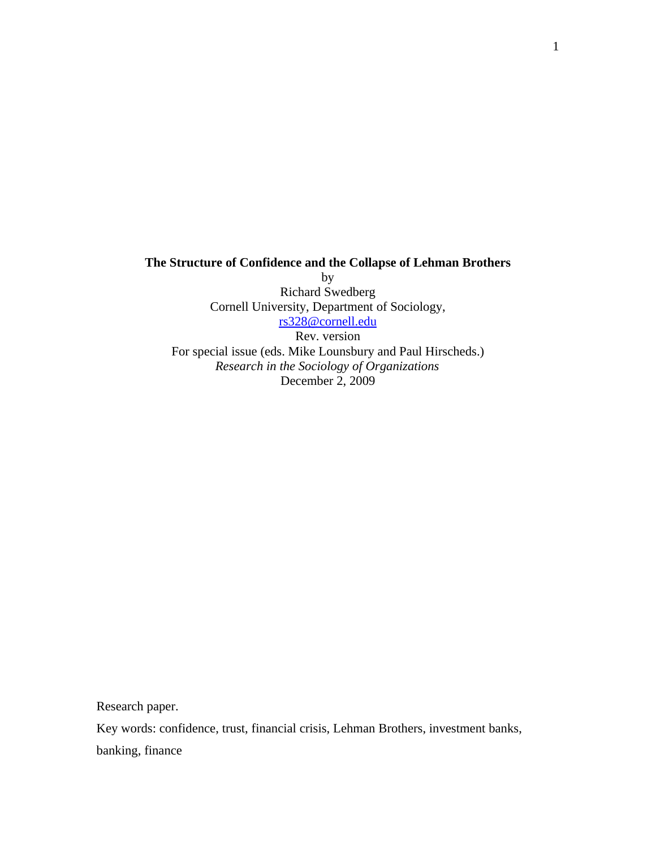**The Structure of Confidence and the Collapse of Lehman Brothers**

by Richard Swedberg Cornell University, Department of Sociology, [rs328@cornell.edu](mailto:rs328@cornell.edu)

Rev. version For special issue (eds. Mike Lounsbury and Paul Hirscheds.) *Research in the Sociology of Organizations* December 2, 2009

Research paper.

Key words: confidence, trust, financial crisis, Lehman Brothers, investment banks,

banking, finance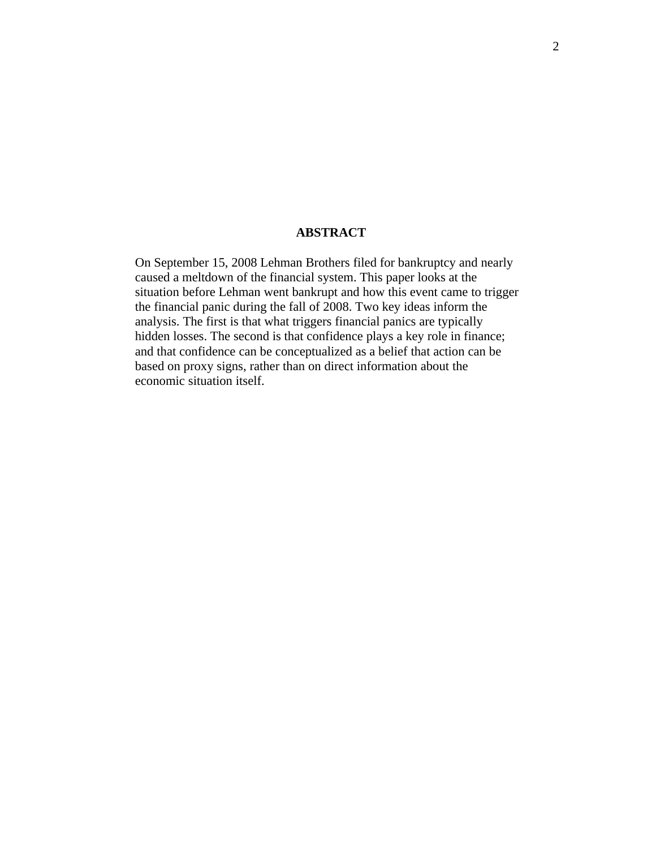# **ABSTRACT**

On September 15, 2008 Lehman Brothers filed for bankruptcy and nearly caused a meltdown of the financial system. This paper looks at the situation before Lehman went bankrupt and how this event came to trigger the financial panic during the fall of 2008. Two key ideas inform the analysis. The first is that what triggers financial panics are typically hidden losses. The second is that confidence plays a key role in finance; and that confidence can be conceptualized as a belief that action can be based on proxy signs, rather than on direct information about the economic situation itself.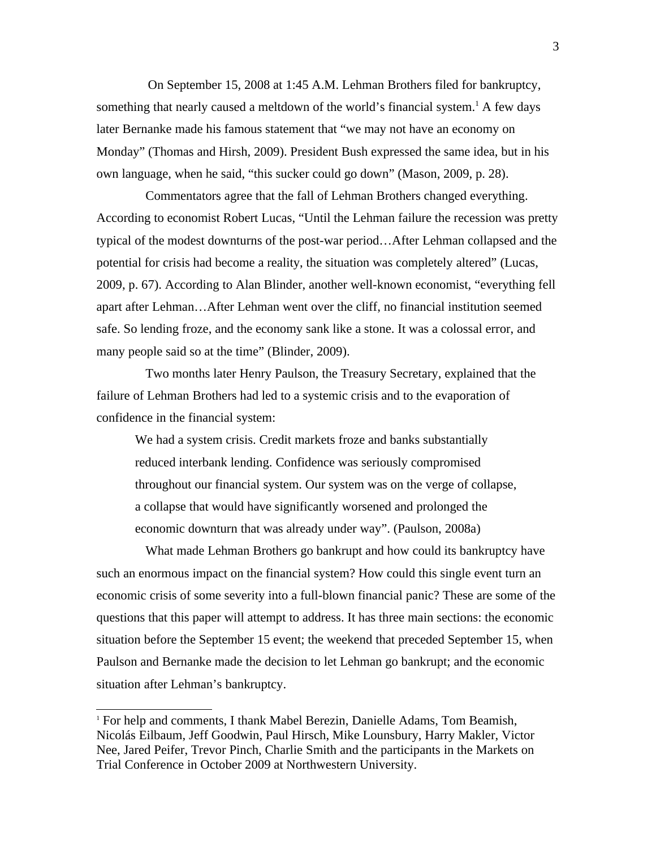On September 15, 2008 at 1:45 A.M. Lehman Brothers filed for bankruptcy, something that nearly caused a meltdown of the world's financial system.<sup>[1](#page-2-0)</sup> A few days later Bernanke made his famous statement that "we may not have an economy on Monday" (Thomas and Hirsh, 2009). President Bush expressed the same idea, but in his own language, when he said, "this sucker could go down" (Mason, 2009, p. 28).

Commentators agree that the fall of Lehman Brothers changed everything. According to economist Robert Lucas, "Until the Lehman failure the recession was pretty typical of the modest downturns of the post-war period…After Lehman collapsed and the potential for crisis had become a reality, the situation was completely altered" (Lucas, 2009, p. 67). According to Alan Blinder, another well-known economist, "everything fell apart after Lehman…After Lehman went over the cliff, no financial institution seemed safe. So lending froze, and the economy sank like a stone. It was a colossal error, and many people said so at the time" (Blinder, 2009).

Two months later Henry Paulson, the Treasury Secretary, explained that the failure of Lehman Brothers had led to a systemic crisis and to the evaporation of confidence in the financial system:

We had a system crisis. Credit markets froze and banks substantially reduced interbank lending. Confidence was seriously compromised throughout our financial system. Our system was on the verge of collapse, a collapse that would have significantly worsened and prolonged the economic downturn that was already under way". (Paulson, 2008a)

What made Lehman Brothers go bankrupt and how could its bankruptcy have such an enormous impact on the financial system? How could this single event turn an economic crisis of some severity into a full-blown financial panic? These are some of the questions that this paper will attempt to address. It has three main sections: the economic situation before the September 15 event; the weekend that preceded September 15, when Paulson and Bernanke made the decision to let Lehman go bankrupt; and the economic situation after Lehman's bankruptcy.

<span id="page-2-0"></span><sup>&</sup>lt;sup>1</sup> For help and comments, I thank Mabel Berezin, Danielle Adams, Tom Beamish, Nicolás Eilbaum, Jeff Goodwin, Paul Hirsch, Mike Lounsbury, Harry Makler, Victor Nee, Jared Peifer, Trevor Pinch, Charlie Smith and the participants in the Markets on Trial Conference in October 2009 at Northwestern University.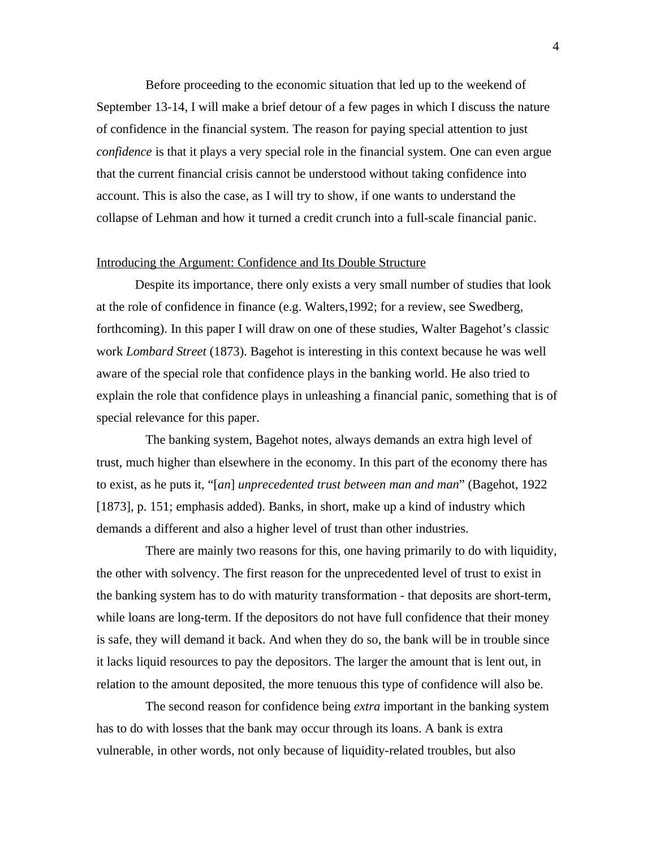Before proceeding to the economic situation that led up to the weekend of September 13-14, I will make a brief detour of a few pages in which I discuss the nature of confidence in the financial system. The reason for paying special attention to just *confidence* is that it plays a very special role in the financial system. One can even argue that the current financial crisis cannot be understood without taking confidence into account. This is also the case, as I will try to show, if one wants to understand the collapse of Lehman and how it turned a credit crunch into a full-scale financial panic.

### Introducing the Argument: Confidence and Its Double Structure

Despite its importance, there only exists a very small number of studies that look at the role of confidence in finance (e.g. Walters,1992; for a review, see Swedberg, forthcoming). In this paper I will draw on one of these studies, Walter Bagehot's classic work *Lombard Street* (1873). Bagehot is interesting in this context because he was well aware of the special role that confidence plays in the banking world. He also tried to explain the role that confidence plays in unleashing a financial panic, something that is of special relevance for this paper.

The banking system, Bagehot notes, always demands an extra high level of trust, much higher than elsewhere in the economy. In this part of the economy there has to exist, as he puts it, "[*an*] *unprecedented trust between man and man*" (Bagehot, 1922 [1873], p. 151; emphasis added). Banks, in short, make up a kind of industry which demands a different and also a higher level of trust than other industries.

There are mainly two reasons for this, one having primarily to do with liquidity, the other with solvency. The first reason for the unprecedented level of trust to exist in the banking system has to do with maturity transformation - that deposits are short-term, while loans are long-term. If the depositors do not have full confidence that their money is safe, they will demand it back. And when they do so, the bank will be in trouble since it lacks liquid resources to pay the depositors. The larger the amount that is lent out, in relation to the amount deposited, the more tenuous this type of confidence will also be.

The second reason for confidence being *extra* important in the banking system has to do with losses that the bank may occur through its loans. A bank is extra vulnerable, in other words, not only because of liquidity-related troubles, but also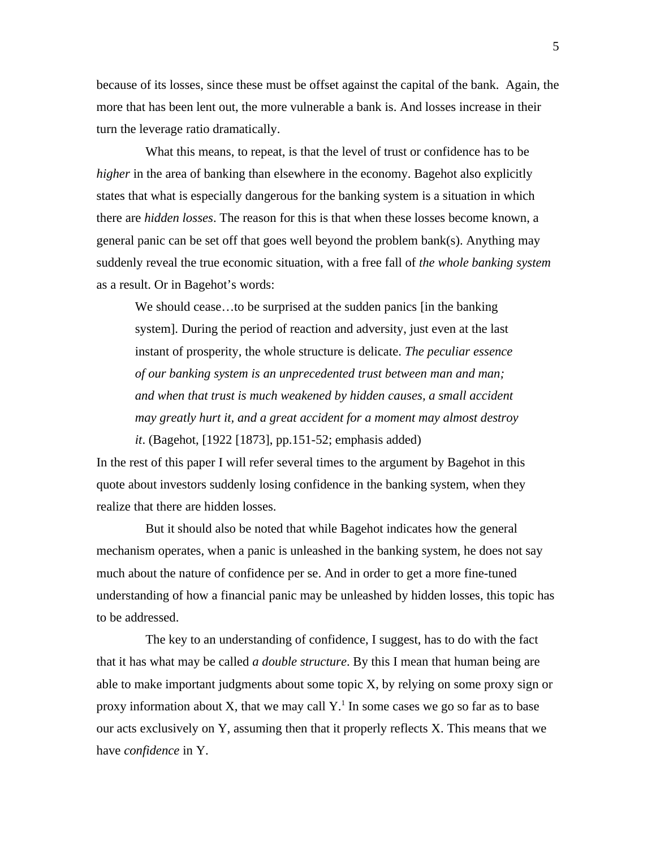because of its losses, since these must be offset against the capital of the bank. Again, the more that has been lent out, the more vulnerable a bank is. And losses increase in their turn the leverage ratio dramatically.

What this means, to repeat, is that the level of trust or confidence has to be *higher* in the area of banking than elsewhere in the economy. Bagehot also explicitly states that what is especially dangerous for the banking system is a situation in which there are *hidden losses*. The reason for this is that when these losses become known, a general panic can be set off that goes well beyond the problem bank(s). Anything may suddenly reveal the true economic situation, with a free fall of *the whole banking system* as a result. Or in Bagehot's words:

We should cease...to be surprised at the sudden panics [in the banking] system]. During the period of reaction and adversity, just even at the last instant of prosperity, the whole structure is delicate. *The peculiar essence of our banking system is an unprecedented trust between man and man; and when that trust is much weakened by hidden causes, a small accident may greatly hurt it, and a great accident for a moment may almost destroy it*. (Bagehot, [1922 [1873], pp.151-52; emphasis added)

In the rest of this paper I will refer several times to the argument by Bagehot in this quote about investors suddenly losing confidence in the banking system, when they realize that there are hidden losses.

But it should also be noted that while Bagehot indicates how the general mechanism operates, when a panic is unleashed in the banking system, he does not say much about the nature of confidence per se. And in order to get a more fine-tuned understanding of how a financial panic may be unleashed by hidden losses, this topic has to be addressed.

The key to an understanding of confidence, I suggest, has to do with the fact that it has what may be called *a double structure*. By this I mean that human being are able to make important judgments about some topic X, by relying on some proxy sign or proxy information about X, that we may call  $Y<sup>1</sup>$  $Y<sup>1</sup>$  $Y<sup>1</sup>$  In some cases we go so far as to base our acts exclusively on Y, assuming then that it properly reflects X. This means that we have *confidence* in Y.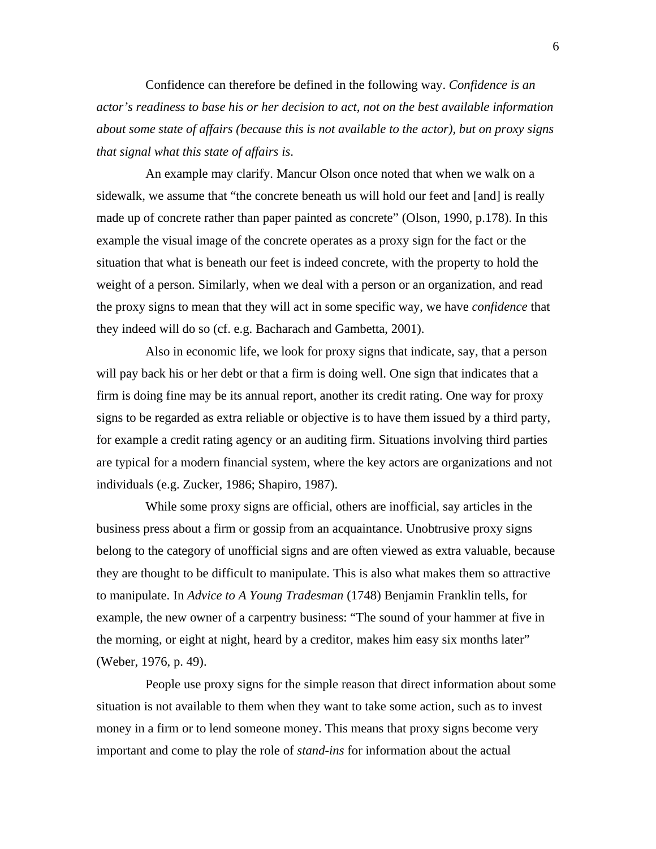Confidence can therefore be defined in the following way. *Confidence is an actor's readiness to base his or her decision to act, not on the best available information about some state of affairs (because this is not available to the actor), but on proxy signs that signal what this state of affairs is*.

An example may clarify. Mancur Olson once noted that when we walk on a sidewalk, we assume that "the concrete beneath us will hold our feet and [and] is really made up of concrete rather than paper painted as concrete" (Olson, 1990, p.178). In this example the visual image of the concrete operates as a proxy sign for the fact or the situation that what is beneath our feet is indeed concrete, with the property to hold the weight of a person. Similarly, when we deal with a person or an organization, and read the proxy signs to mean that they will act in some specific way, we have *confidence* that they indeed will do so (cf. e.g. Bacharach and Gambetta, 2001).

Also in economic life, we look for proxy signs that indicate, say, that a person will pay back his or her debt or that a firm is doing well. One sign that indicates that a firm is doing fine may be its annual report, another its credit rating. One way for proxy signs to be regarded as extra reliable or objective is to have them issued by a third party, for example a credit rating agency or an auditing firm. Situations involving third parties are typical for a modern financial system, where the key actors are organizations and not individuals (e.g. Zucker, 1986; Shapiro, 1987).

While some proxy signs are official, others are inofficial, say articles in the business press about a firm or gossip from an acquaintance. Unobtrusive proxy signs belong to the category of unofficial signs and are often viewed as extra valuable, because they are thought to be difficult to manipulate. This is also what makes them so attractive to manipulate. In *Advice to A Young Tradesman* (1748) Benjamin Franklin tells, for example, the new owner of a carpentry business: "The sound of your hammer at five in the morning, or eight at night, heard by a creditor, makes him easy six months later" (Weber, 1976, p. 49).

People use proxy signs for the simple reason that direct information about some situation is not available to them when they want to take some action, such as to invest money in a firm or to lend someone money. This means that proxy signs become very important and come to play the role of *stand-ins* for information about the actual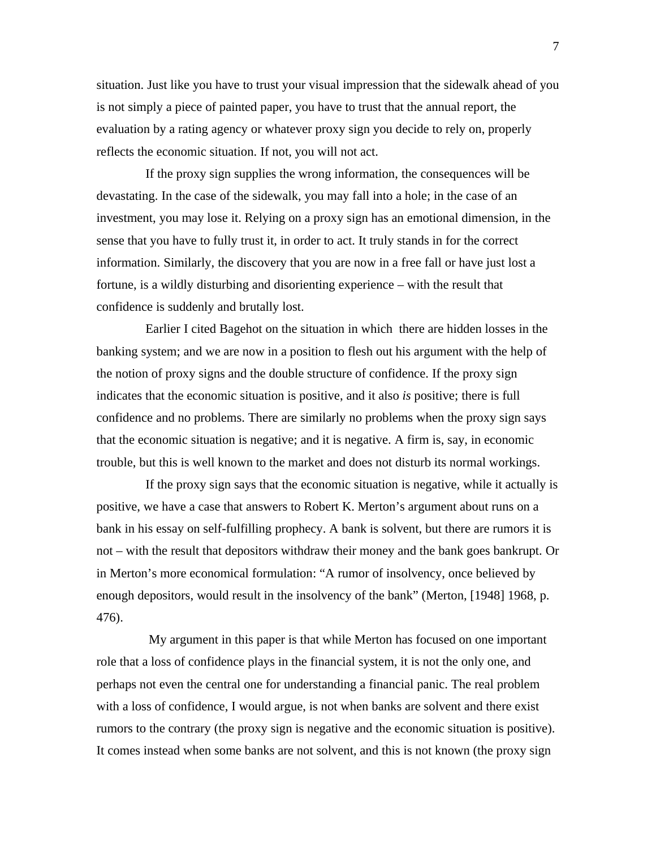situation. Just like you have to trust your visual impression that the sidewalk ahead of you is not simply a piece of painted paper, you have to trust that the annual report, the evaluation by a rating agency or whatever proxy sign you decide to rely on, properly reflects the economic situation. If not, you will not act.

If the proxy sign supplies the wrong information, the consequences will be devastating. In the case of the sidewalk, you may fall into a hole; in the case of an investment, you may lose it. Relying on a proxy sign has an emotional dimension, in the sense that you have to fully trust it, in order to act. It truly stands in for the correct information. Similarly, the discovery that you are now in a free fall or have just lost a fortune, is a wildly disturbing and disorienting experience – with the result that confidence is suddenly and brutally lost.

Earlier I cited Bagehot on the situation in which there are hidden losses in the banking system; and we are now in a position to flesh out his argument with the help of the notion of proxy signs and the double structure of confidence. If the proxy sign indicates that the economic situation is positive, and it also *is* positive; there is full confidence and no problems. There are similarly no problems when the proxy sign says that the economic situation is negative; and it is negative. A firm is, say, in economic trouble, but this is well known to the market and does not disturb its normal workings.

If the proxy sign says that the economic situation is negative, while it actually is positive, we have a case that answers to Robert K. Merton's argument about runs on a bank in his essay on self-fulfilling prophecy. A bank is solvent, but there are rumors it is not – with the result that depositors withdraw their money and the bank goes bankrupt. Or in Merton's more economical formulation: "A rumor of insolvency, once believed by enough depositors, would result in the insolvency of the bank" (Merton, [1948] 1968, p. 476).

 My argument in this paper is that while Merton has focused on one important role that a loss of confidence plays in the financial system, it is not the only one, and perhaps not even the central one for understanding a financial panic. The real problem with a loss of confidence, I would argue, is not when banks are solvent and there exist rumors to the contrary (the proxy sign is negative and the economic situation is positive). It comes instead when some banks are not solvent, and this is not known (the proxy sign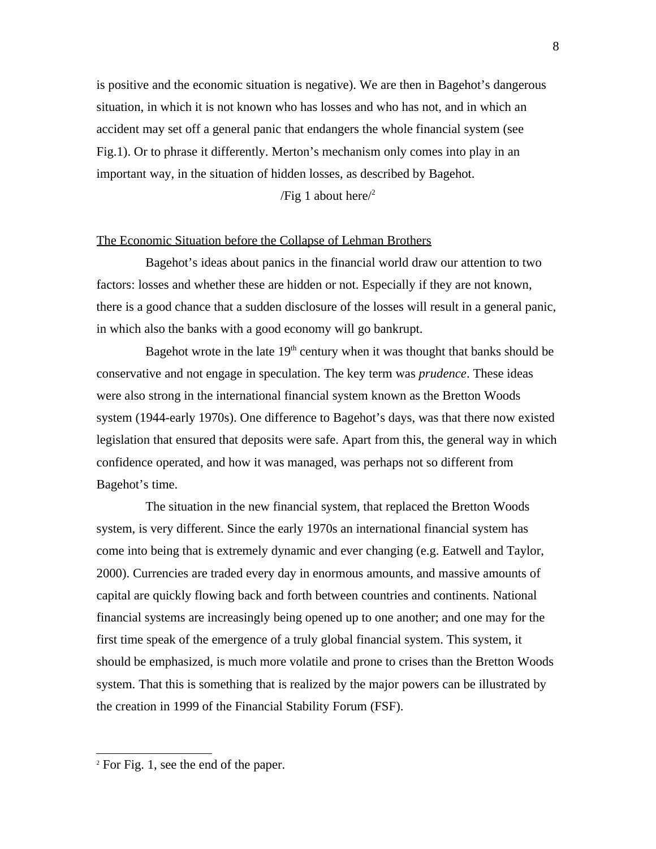is positive and the economic situation is negative). We are then in Bagehot's dangerous situation, in which it is not known who has losses and who has not, and in which an accident may set off a general panic that endangers the whole financial system (see Fig.1). Or to phrase it differently. Merton's mechanism only comes into play in an important way, in the situation of hidden losses, as described by Bagehot.

/Fig 1 about here/ $^2$  $^2$ 

#### The Economic Situation before the Collapse of Lehman Brothers

Bagehot's ideas about panics in the financial world draw our attention to two factors: losses and whether these are hidden or not. Especially if they are not known, there is a good chance that a sudden disclosure of the losses will result in a general panic, in which also the banks with a good economy will go bankrupt.

Bagehot wrote in the late  $19<sup>th</sup>$  century when it was thought that banks should be conservative and not engage in speculation. The key term was *prudence*. These ideas were also strong in the international financial system known as the Bretton Woods system (1944-early 1970s). One difference to Bagehot's days, was that there now existed legislation that ensured that deposits were safe. Apart from this, the general way in which confidence operated, and how it was managed, was perhaps not so different from Bagehot's time.

The situation in the new financial system, that replaced the Bretton Woods system, is very different. Since the early 1970s an international financial system has come into being that is extremely dynamic and ever changing (e.g. Eatwell and Taylor, 2000). Currencies are traded every day in enormous amounts, and massive amounts of capital are quickly flowing back and forth between countries and continents. National financial systems are increasingly being opened up to one another; and one may for the first time speak of the emergence of a truly global financial system. This system, it should be emphasized, is much more volatile and prone to crises than the Bretton Woods system. That this is something that is realized by the major powers can be illustrated by the creation in 1999 of the Financial Stability Forum (FSF).

<span id="page-7-0"></span><sup>2</sup> For Fig. 1, see the end of the paper.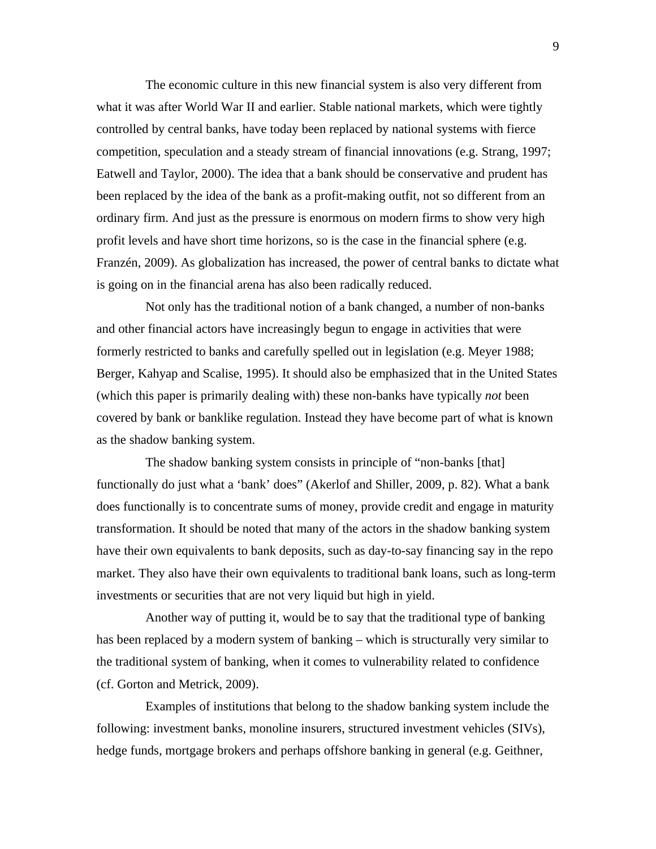The economic culture in this new financial system is also very different from what it was after World War II and earlier. Stable national markets, which were tightly controlled by central banks, have today been replaced by national systems with fierce competition, speculation and a steady stream of financial innovations (e.g. Strang, 1997; Eatwell and Taylor, 2000). The idea that a bank should be conservative and prudent has been replaced by the idea of the bank as a profit-making outfit, not so different from an ordinary firm. And just as the pressure is enormous on modern firms to show very high profit levels and have short time horizons, so is the case in the financial sphere (e.g. Franzén, 2009). As globalization has increased, the power of central banks to dictate what is going on in the financial arena has also been radically reduced.

Not only has the traditional notion of a bank changed, a number of non-banks and other financial actors have increasingly begun to engage in activities that were formerly restricted to banks and carefully spelled out in legislation (e.g. Meyer 1988; Berger, Kahyap and Scalise, 1995). It should also be emphasized that in the United States (which this paper is primarily dealing with) these non-banks have typically *not* been covered by bank or banklike regulation. Instead they have become part of what is known as the shadow banking system.

The shadow banking system consists in principle of "non-banks [that] functionally do just what a 'bank' does" (Akerlof and Shiller, 2009, p. 82). What a bank does functionally is to concentrate sums of money, provide credit and engage in maturity transformation. It should be noted that many of the actors in the shadow banking system have their own equivalents to bank deposits, such as day-to-say financing say in the repo market. They also have their own equivalents to traditional bank loans, such as long-term investments or securities that are not very liquid but high in yield.

Another way of putting it, would be to say that the traditional type of banking has been replaced by a modern system of banking – which is structurally very similar to the traditional system of banking, when it comes to vulnerability related to confidence (cf. Gorton and Metrick, 2009).

Examples of institutions that belong to the shadow banking system include the following: investment banks, monoline insurers, structured investment vehicles (SIVs), hedge funds, mortgage brokers and perhaps offshore banking in general (e.g. Geithner,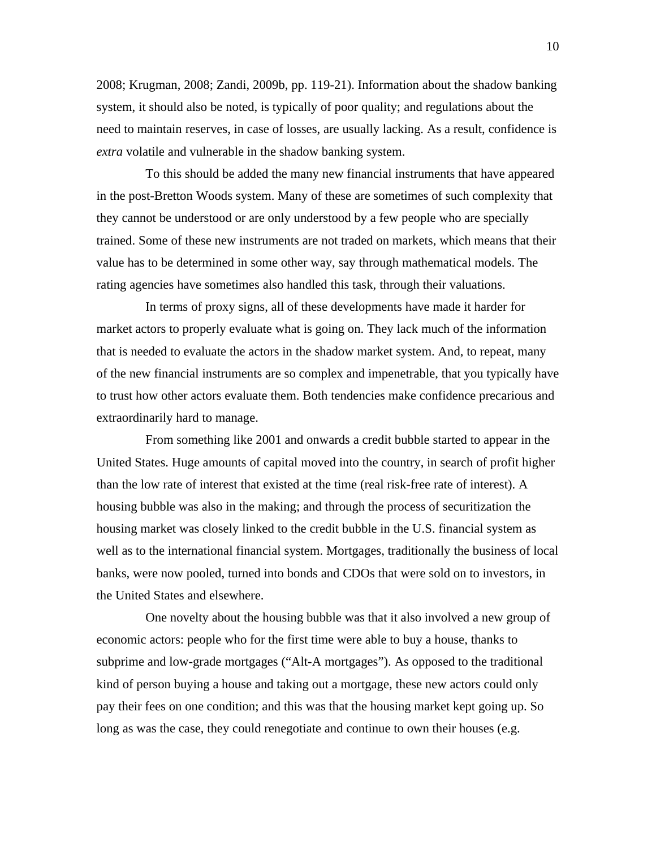2008; Krugman, 2008; Zandi, 2009b, pp. 119-21). Information about the shadow banking system, it should also be noted, is typically of poor quality; and regulations about the need to maintain reserves, in case of losses, are usually lacking. As a result, confidence is *extra* volatile and vulnerable in the shadow banking system.

To this should be added the many new financial instruments that have appeared in the post-Bretton Woods system. Many of these are sometimes of such complexity that they cannot be understood or are only understood by a few people who are specially trained. Some of these new instruments are not traded on markets, which means that their value has to be determined in some other way, say through mathematical models. The rating agencies have sometimes also handled this task, through their valuations.

In terms of proxy signs, all of these developments have made it harder for market actors to properly evaluate what is going on. They lack much of the information that is needed to evaluate the actors in the shadow market system. And, to repeat, many of the new financial instruments are so complex and impenetrable, that you typically have to trust how other actors evaluate them. Both tendencies make confidence precarious and extraordinarily hard to manage.

 From something like 2001 and onwards a credit bubble started to appear in the United States. Huge amounts of capital moved into the country, in search of profit higher than the low rate of interest that existed at the time (real risk-free rate of interest). A housing bubble was also in the making; and through the process of securitization the housing market was closely linked to the credit bubble in the U.S. financial system as well as to the international financial system. Mortgages, traditionally the business of local banks, were now pooled, turned into bonds and CDOs that were sold on to investors, in the United States and elsewhere.

One novelty about the housing bubble was that it also involved a new group of economic actors: people who for the first time were able to buy a house, thanks to subprime and low-grade mortgages ("Alt-A mortgages"). As opposed to the traditional kind of person buying a house and taking out a mortgage, these new actors could only pay their fees on one condition; and this was that the housing market kept going up. So long as was the case, they could renegotiate and continue to own their houses (e.g.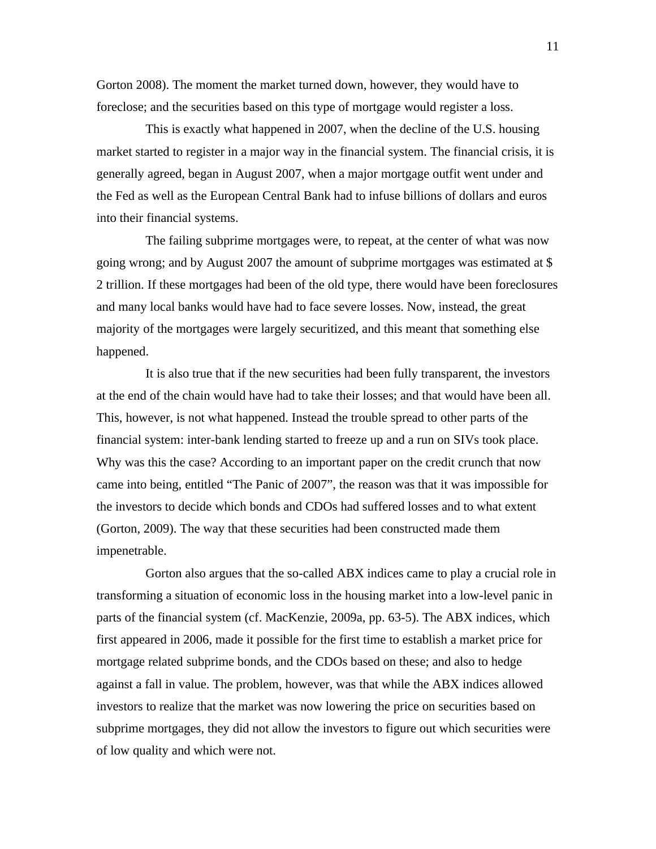Gorton 2008). The moment the market turned down, however, they would have to foreclose; and the securities based on this type of mortgage would register a loss.

This is exactly what happened in 2007, when the decline of the U.S. housing market started to register in a major way in the financial system. The financial crisis, it is generally agreed, began in August 2007, when a major mortgage outfit went under and the Fed as well as the European Central Bank had to infuse billions of dollars and euros into their financial systems.

The failing subprime mortgages were, to repeat, at the center of what was now going wrong; and by August 2007 the amount of subprime mortgages was estimated at \$ 2 trillion. If these mortgages had been of the old type, there would have been foreclosures and many local banks would have had to face severe losses. Now, instead, the great majority of the mortgages were largely securitized, and this meant that something else happened.

It is also true that if the new securities had been fully transparent, the investors at the end of the chain would have had to take their losses; and that would have been all. This, however, is not what happened. Instead the trouble spread to other parts of the financial system: inter-bank lending started to freeze up and a run on SIVs took place. Why was this the case? According to an important paper on the credit crunch that now came into being, entitled "The Panic of 2007", the reason was that it was impossible for the investors to decide which bonds and CDOs had suffered losses and to what extent (Gorton, 2009). The way that these securities had been constructed made them impenetrable.

Gorton also argues that the so-called ABX indices came to play a crucial role in transforming a situation of economic loss in the housing market into a low-level panic in parts of the financial system (cf. MacKenzie, 2009a, pp. 63-5). The ABX indices, which first appeared in 2006, made it possible for the first time to establish a market price for mortgage related subprime bonds, and the CDOs based on these; and also to hedge against a fall in value. The problem, however, was that while the ABX indices allowed investors to realize that the market was now lowering the price on securities based on subprime mortgages, they did not allow the investors to figure out which securities were of low quality and which were not.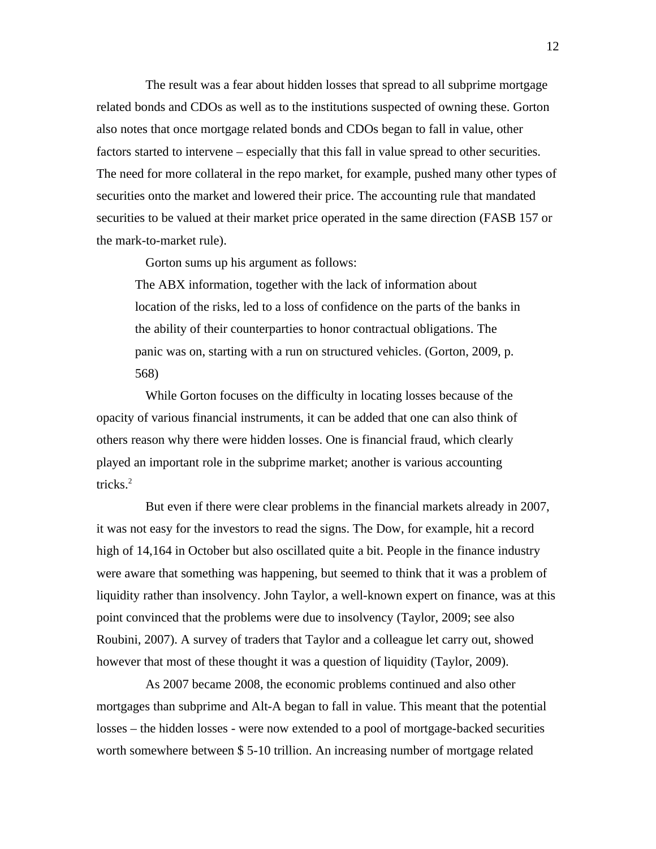The result was a fear about hidden losses that spread to all subprime mortgage related bonds and CDOs as well as to the institutions suspected of owning these. Gorton also notes that once mortgage related bonds and CDOs began to fall in value, other factors started to intervene – especially that this fall in value spread to other securities. The need for more collateral in the repo market, for example, pushed many other types of securities onto the market and lowered their price. The accounting rule that mandated securities to be valued at their market price operated in the same direction (FASB 157 or the mark-to-market rule).

Gorton sums up his argument as follows:

The ABX information, together with the lack of information about location of the risks, led to a loss of confidence on the parts of the banks in the ability of their counterparties to honor contractual obligations. The panic was on, starting with a run on structured vehicles. (Gorton, 2009, p. 568)

While Gorton focuses on the difficulty in locating losses because of the opacity of various financial instruments, it can be added that one can also think of others reason why there were hidden losses. One is financial fraud, which clearly played an important role in the subprime market; another is various accounting tricks.<sup>[2](#page-48-1)</sup>

But even if there were clear problems in the financial markets already in 2007, it was not easy for the investors to read the signs. The Dow, for example, hit a record high of 14,164 in October but also oscillated quite a bit. People in the finance industry were aware that something was happening, but seemed to think that it was a problem of liquidity rather than insolvency. John Taylor, a well-known expert on finance, was at this point convinced that the problems were due to insolvency (Taylor, 2009; see also Roubini, 2007). A survey of traders that Taylor and a colleague let carry out, showed however that most of these thought it was a question of liquidity (Taylor, 2009).

As 2007 became 2008, the economic problems continued and also other mortgages than subprime and Alt-A began to fall in value. This meant that the potential losses – the hidden losses - were now extended to a pool of mortgage-backed securities worth somewhere between \$ 5-10 trillion. An increasing number of mortgage related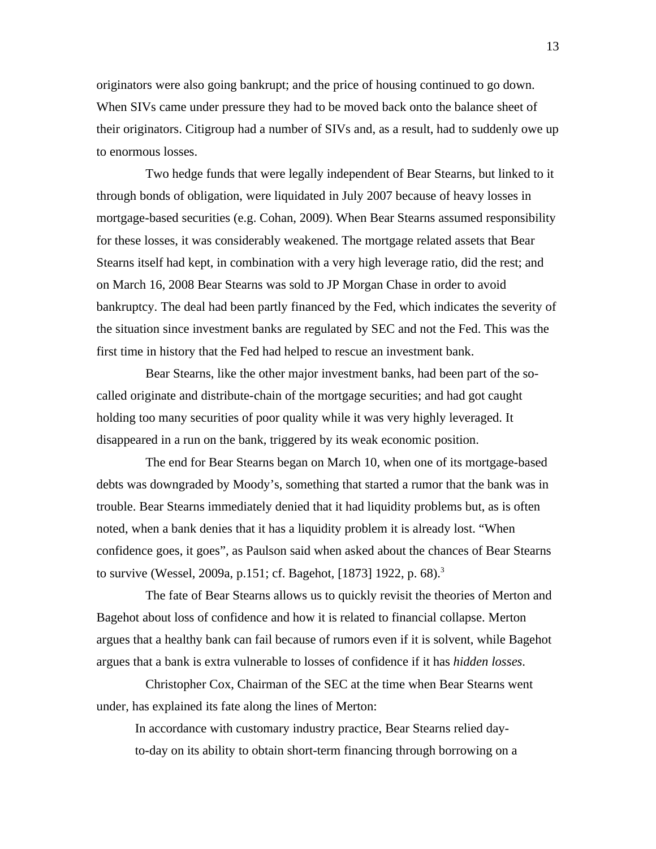originators were also going bankrupt; and the price of housing continued to go down. When SIVs came under pressure they had to be moved back onto the balance sheet of their originators. Citigroup had a number of SIVs and, as a result, had to suddenly owe up to enormous losses.

Two hedge funds that were legally independent of Bear Stearns, but linked to it through bonds of obligation, were liquidated in July 2007 because of heavy losses in mortgage-based securities (e.g. Cohan, 2009). When Bear Stearns assumed responsibility for these losses, it was considerably weakened. The mortgage related assets that Bear Stearns itself had kept, in combination with a very high leverage ratio, did the rest; and on March 16, 2008 Bear Stearns was sold to JP Morgan Chase in order to avoid bankruptcy. The deal had been partly financed by the Fed, which indicates the severity of the situation since investment banks are regulated by SEC and not the Fed. This was the first time in history that the Fed had helped to rescue an investment bank.

Bear Stearns, like the other major investment banks, had been part of the socalled originate and distribute-chain of the mortgage securities; and had got caught holding too many securities of poor quality while it was very highly leveraged. It disappeared in a run on the bank, triggered by its weak economic position.

The end for Bear Stearns began on March 10, when one of its mortgage-based debts was downgraded by Moody's, something that started a rumor that the bank was in trouble. Bear Stearns immediately denied that it had liquidity problems but, as is often noted, when a bank denies that it has a liquidity problem it is already lost. "When confidence goes, it goes", as Paulson said when asked about the chances of Bear Stearns to survive (Wessel, 2009a, p.151; cf. Bagehot, [1873] 1922, p. 68).[3](#page-48-2)

The fate of Bear Stearns allows us to quickly revisit the theories of Merton and Bagehot about loss of confidence and how it is related to financial collapse. Merton argues that a healthy bank can fail because of rumors even if it is solvent, while Bagehot argues that a bank is extra vulnerable to losses of confidence if it has *hidden losses*.

Christopher Cox, Chairman of the SEC at the time when Bear Stearns went under, has explained its fate along the lines of Merton:

In accordance with customary industry practice, Bear Stearns relied dayto-day on its ability to obtain short-term financing through borrowing on a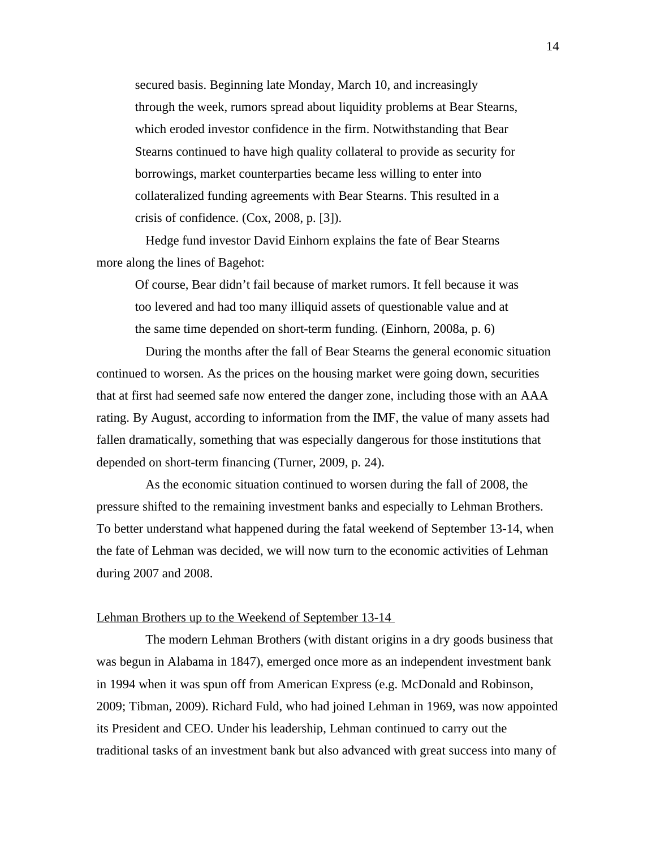secured basis. Beginning late Monday, March 10, and increasingly through the week, rumors spread about liquidity problems at Bear Stearns, which eroded investor confidence in the firm. Notwithstanding that Bear Stearns continued to have high quality collateral to provide as security for borrowings, market counterparties became less willing to enter into collateralized funding agreements with Bear Stearns. This resulted in a crisis of confidence. (Cox, 2008, p. [3]).

Hedge fund investor David Einhorn explains the fate of Bear Stearns more along the lines of Bagehot:

Of course, Bear didn't fail because of market rumors. It fell because it was too levered and had too many illiquid assets of questionable value and at the same time depended on short-term funding. (Einhorn, 2008a, p. 6)

During the months after the fall of Bear Stearns the general economic situation continued to worsen. As the prices on the housing market were going down, securities that at first had seemed safe now entered the danger zone, including those with an AAA rating. By August, according to information from the IMF, the value of many assets had fallen dramatically, something that was especially dangerous for those institutions that depended on short-term financing (Turner, 2009, p. 24).

As the economic situation continued to worsen during the fall of 2008, the pressure shifted to the remaining investment banks and especially to Lehman Brothers. To better understand what happened during the fatal weekend of September 13-14, when the fate of Lehman was decided, we will now turn to the economic activities of Lehman during 2007 and 2008.

#### Lehman Brothers up to the Weekend of September 13-14

The modern Lehman Brothers (with distant origins in a dry goods business that was begun in Alabama in 1847), emerged once more as an independent investment bank in 1994 when it was spun off from American Express (e.g. McDonald and Robinson, 2009; Tibman, 2009). Richard Fuld, who had joined Lehman in 1969, was now appointed its President and CEO. Under his leadership, Lehman continued to carry out the traditional tasks of an investment bank but also advanced with great success into many of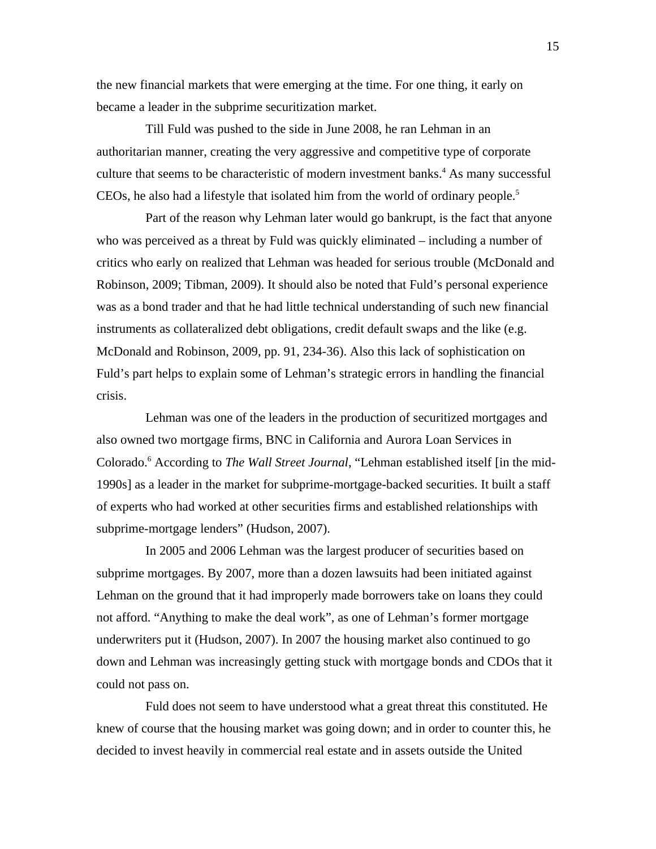the new financial markets that were emerging at the time. For one thing, it early on became a leader in the subprime securitization market.

Till Fuld was pushed to the side in June 2008, he ran Lehman in an authoritarian manner, creating the very aggressive and competitive type of corporate culture that seems to be characteristic of modern investment banks. $4$  As many successful CEOs, he also had a lifestyle that isolated him from the world of ordinary people.<sup>[5](#page-48-4)</sup>

Part of the reason why Lehman later would go bankrupt, is the fact that anyone who was perceived as a threat by Fuld was quickly eliminated – including a number of critics who early on realized that Lehman was headed for serious trouble (McDonald and Robinson, 2009; Tibman, 2009). It should also be noted that Fuld's personal experience was as a bond trader and that he had little technical understanding of such new financial instruments as collateralized debt obligations, credit default swaps and the like (e.g. McDonald and Robinson, 2009, pp. 91, 234-36). Also this lack of sophistication on Fuld's part helps to explain some of Lehman's strategic errors in handling the financial crisis.

Lehman was one of the leaders in the production of securitized mortgages and also owned two mortgage firms, BNC in California and Aurora Loan Services in Colorado.<sup>[6](#page-48-5)</sup> According to *The Wall Street Journal*, "Lehman established itself [in the mid-1990s] as a leader in the market for subprime-mortgage-backed securities. It built a staff of experts who had worked at other securities firms and established relationships with subprime-mortgage lenders" (Hudson, 2007).

In 2005 and 2006 Lehman was the largest producer of securities based on subprime mortgages. By 2007, more than a dozen lawsuits had been initiated against Lehman on the ground that it had improperly made borrowers take on loans they could not afford. "Anything to make the deal work", as one of Lehman's former mortgage underwriters put it (Hudson, 2007). In 2007 the housing market also continued to go down and Lehman was increasingly getting stuck with mortgage bonds and CDOs that it could not pass on.

Fuld does not seem to have understood what a great threat this constituted. He knew of course that the housing market was going down; and in order to counter this, he decided to invest heavily in commercial real estate and in assets outside the United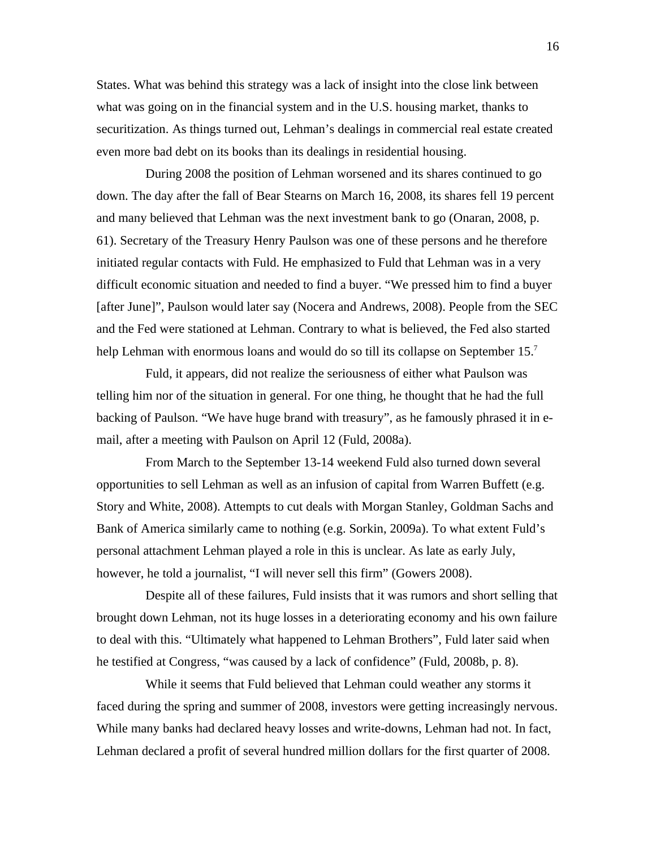States. What was behind this strategy was a lack of insight into the close link between what was going on in the financial system and in the U.S. housing market, thanks to securitization. As things turned out, Lehman's dealings in commercial real estate created even more bad debt on its books than its dealings in residential housing.

During 2008 the position of Lehman worsened and its shares continued to go down. The day after the fall of Bear Stearns on March 16, 2008, its shares fell 19 percent and many believed that Lehman was the next investment bank to go (Onaran, 2008, p. 61). Secretary of the Treasury Henry Paulson was one of these persons and he therefore initiated regular contacts with Fuld. He emphasized to Fuld that Lehman was in a very difficult economic situation and needed to find a buyer. "We pressed him to find a buyer [after June]", Paulson would later say (Nocera and Andrews, 2008). People from the SEC and the Fed were stationed at Lehman. Contrary to what is believed, the Fed also started help Lehman with enormous loans and would do so till its collapse on September 15. $^7$  $^7$ 

Fuld, it appears, did not realize the seriousness of either what Paulson was telling him nor of the situation in general. For one thing, he thought that he had the full backing of Paulson. "We have huge brand with treasury", as he famously phrased it in email, after a meeting with Paulson on April 12 (Fuld, 2008a).

From March to the September 13-14 weekend Fuld also turned down several opportunities to sell Lehman as well as an infusion of capital from Warren Buffett (e.g. Story and White, 2008). Attempts to cut deals with Morgan Stanley, Goldman Sachs and Bank of America similarly came to nothing (e.g. Sorkin, 2009a). To what extent Fuld's personal attachment Lehman played a role in this is unclear. As late as early July, however, he told a journalist, "I will never sell this firm" (Gowers 2008).

Despite all of these failures, Fuld insists that it was rumors and short selling that brought down Lehman, not its huge losses in a deteriorating economy and his own failure to deal with this. "Ultimately what happened to Lehman Brothers", Fuld later said when he testified at Congress, "was caused by a lack of confidence" (Fuld, 2008b, p. 8).

While it seems that Fuld believed that Lehman could weather any storms it faced during the spring and summer of 2008, investors were getting increasingly nervous. While many banks had declared heavy losses and write-downs, Lehman had not. In fact, Lehman declared a profit of several hundred million dollars for the first quarter of 2008.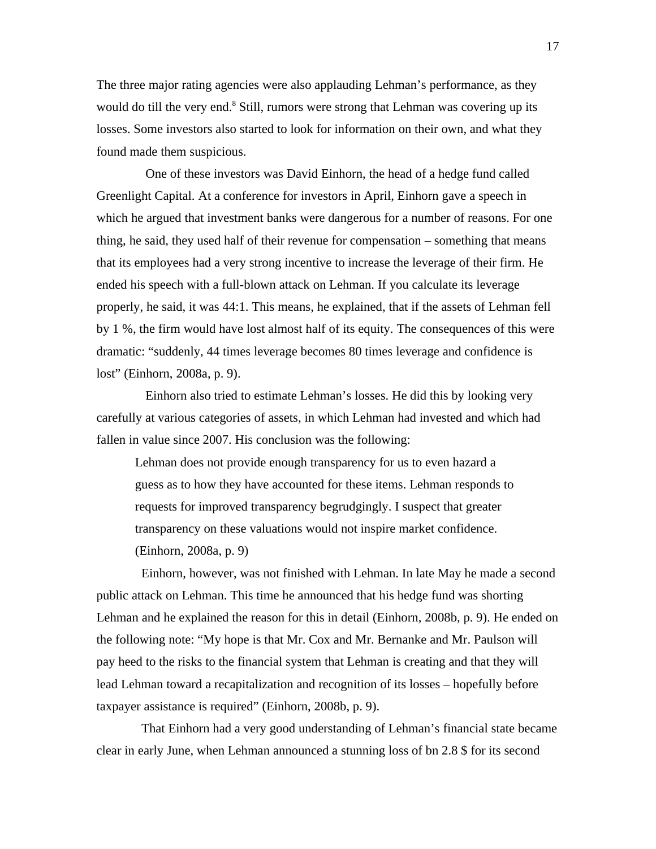The three major rating agencies were also applauding Lehman's performance, as they would do till the very end.<sup>[8](#page-49-0)</sup> Still, rumors were strong that Lehman was covering up its losses. Some investors also started to look for information on their own, and what they found made them suspicious.

One of these investors was David Einhorn, the head of a hedge fund called Greenlight Capital. At a conference for investors in April, Einhorn gave a speech in which he argued that investment banks were dangerous for a number of reasons. For one thing, he said, they used half of their revenue for compensation – something that means that its employees had a very strong incentive to increase the leverage of their firm. He ended his speech with a full-blown attack on Lehman. If you calculate its leverage properly, he said, it was 44:1. This means, he explained, that if the assets of Lehman fell by 1 %, the firm would have lost almost half of its equity. The consequences of this were dramatic: "suddenly, 44 times leverage becomes 80 times leverage and confidence is lost" (Einhorn, 2008a, p. 9).

Einhorn also tried to estimate Lehman's losses. He did this by looking very carefully at various categories of assets, in which Lehman had invested and which had fallen in value since 2007. His conclusion was the following:

Lehman does not provide enough transparency for us to even hazard a guess as to how they have accounted for these items. Lehman responds to requests for improved transparency begrudgingly. I suspect that greater transparency on these valuations would not inspire market confidence. (Einhorn, 2008a, p. 9)

Einhorn, however, was not finished with Lehman. In late May he made a second public attack on Lehman. This time he announced that his hedge fund was shorting Lehman and he explained the reason for this in detail (Einhorn, 2008b, p. 9). He ended on the following note: "My hope is that Mr. Cox and Mr. Bernanke and Mr. Paulson will pay heed to the risks to the financial system that Lehman is creating and that they will lead Lehman toward a recapitalization and recognition of its losses – hopefully before taxpayer assistance is required" (Einhorn, 2008b, p. 9).

That Einhorn had a very good understanding of Lehman's financial state became clear in early June, when Lehman announced a stunning loss of bn 2.8 \$ for its second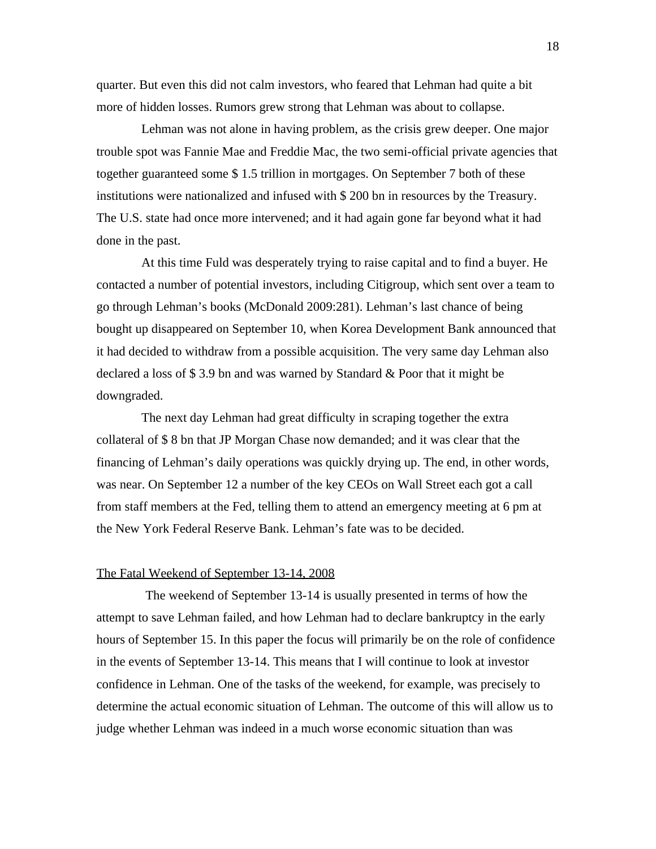quarter. But even this did not calm investors, who feared that Lehman had quite a bit more of hidden losses. Rumors grew strong that Lehman was about to collapse.

Lehman was not alone in having problem, as the crisis grew deeper. One major trouble spot was Fannie Mae and Freddie Mac, the two semi-official private agencies that together guaranteed some \$ 1.5 trillion in mortgages. On September 7 both of these institutions were nationalized and infused with \$ 200 bn in resources by the Treasury. The U.S. state had once more intervened; and it had again gone far beyond what it had done in the past.

At this time Fuld was desperately trying to raise capital and to find a buyer. He contacted a number of potential investors, including Citigroup, which sent over a team to go through Lehman's books (McDonald 2009:281). Lehman's last chance of being bought up disappeared on September 10, when Korea Development Bank announced that it had decided to withdraw from a possible acquisition. The very same day Lehman also declared a loss of \$ 3.9 bn and was warned by Standard & Poor that it might be downgraded.

The next day Lehman had great difficulty in scraping together the extra collateral of \$ 8 bn that JP Morgan Chase now demanded; and it was clear that the financing of Lehman's daily operations was quickly drying up. The end, in other words, was near. On September 12 a number of the key CEOs on Wall Street each got a call from staff members at the Fed, telling them to attend an emergency meeting at 6 pm at the New York Federal Reserve Bank. Lehman's fate was to be decided.

### The Fatal Weekend of September 13-14, 2008

The weekend of September 13-14 is usually presented in terms of how the attempt to save Lehman failed, and how Lehman had to declare bankruptcy in the early hours of September 15. In this paper the focus will primarily be on the role of confidence in the events of September 13-14. This means that I will continue to look at investor confidence in Lehman. One of the tasks of the weekend, for example, was precisely to determine the actual economic situation of Lehman. The outcome of this will allow us to judge whether Lehman was indeed in a much worse economic situation than was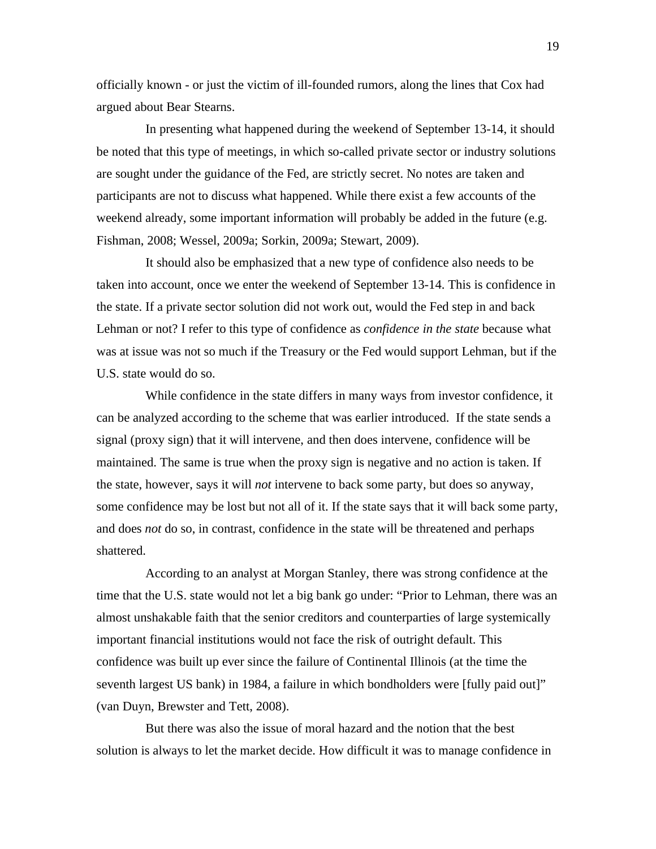officially known - or just the victim of ill-founded rumors, along the lines that Cox had argued about Bear Stearns.

In presenting what happened during the weekend of September 13-14, it should be noted that this type of meetings, in which so-called private sector or industry solutions are sought under the guidance of the Fed, are strictly secret. No notes are taken and participants are not to discuss what happened. While there exist a few accounts of the weekend already, some important information will probably be added in the future (e.g. Fishman, 2008; Wessel, 2009a; Sorkin, 2009a; Stewart, 2009).

It should also be emphasized that a new type of confidence also needs to be taken into account, once we enter the weekend of September 13-14. This is confidence in the state. If a private sector solution did not work out, would the Fed step in and back Lehman or not? I refer to this type of confidence as *confidence in the state* because what was at issue was not so much if the Treasury or the Fed would support Lehman, but if the U.S. state would do so.

While confidence in the state differs in many ways from investor confidence, it can be analyzed according to the scheme that was earlier introduced. If the state sends a signal (proxy sign) that it will intervene, and then does intervene, confidence will be maintained. The same is true when the proxy sign is negative and no action is taken. If the state, however, says it will *not* intervene to back some party, but does so anyway, some confidence may be lost but not all of it. If the state says that it will back some party, and does *not* do so, in contrast, confidence in the state will be threatened and perhaps shattered.

According to an analyst at Morgan Stanley, there was strong confidence at the time that the U.S. state would not let a big bank go under: "Prior to Lehman, there was an almost unshakable faith that the senior creditors and counterparties of large systemically important financial institutions would not face the risk of outright default. This confidence was built up ever since the failure of Continental Illinois (at the time the seventh largest US bank) in 1984, a failure in which bondholders were [fully paid out]" (van Duyn, Brewster and Tett, 2008).

But there was also the issue of moral hazard and the notion that the best solution is always to let the market decide. How difficult it was to manage confidence in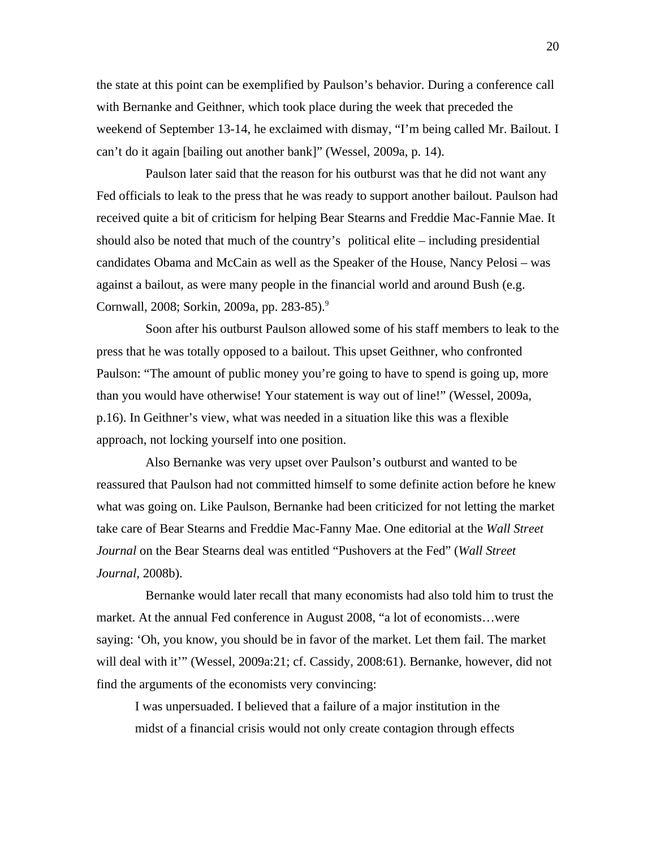the state at this point can be exemplified by Paulson's behavior. During a conference call with Bernanke and Geithner, which took place during the week that preceded the weekend of September 13-14, he exclaimed with dismay, "I'm being called Mr. Bailout. I can't do it again [bailing out another bank]" (Wessel, 2009a, p. 14).

Paulson later said that the reason for his outburst was that he did not want any Fed officials to leak to the press that he was ready to support another bailout. Paulson had received quite a bit of criticism for helping Bear Stearns and Freddie Mac-Fannie Mae. It should also be noted that much of the country's political elite – including presidential candidates Obama and McCain as well as the Speaker of the House, Nancy Pelosi – was against a bailout, as were many people in the financial world and around Bush (e.g. Cornwall, 2008; Sorkin, 200[9](#page-49-1)a, pp. 283-85).<sup>9</sup>

Soon after his outburst Paulson allowed some of his staff members to leak to the press that he was totally opposed to a bailout. This upset Geithner, who confronted Paulson: "The amount of public money you're going to have to spend is going up, more than you would have otherwise! Your statement is way out of line!" (Wessel, 2009a, p.16). In Geithner's view, what was needed in a situation like this was a flexible approach, not locking yourself into one position.

Also Bernanke was very upset over Paulson's outburst and wanted to be reassured that Paulson had not committed himself to some definite action before he knew what was going on. Like Paulson, Bernanke had been criticized for not letting the market take care of Bear Stearns and Freddie Mac-Fanny Mae. One editorial at the *Wall Street Journal* on the Bear Stearns deal was entitled "Pushovers at the Fed" (*Wall Street Journal,* 2008b).

Bernanke would later recall that many economists had also told him to trust the market. At the annual Fed conference in August 2008, "a lot of economists…were saying: 'Oh, you know, you should be in favor of the market. Let them fail. The market will deal with it'" (Wessel, 2009a:21; cf. Cassidy, 2008:61). Bernanke, however, did not find the arguments of the economists very convincing:

I was unpersuaded. I believed that a failure of a major institution in the midst of a financial crisis would not only create contagion through effects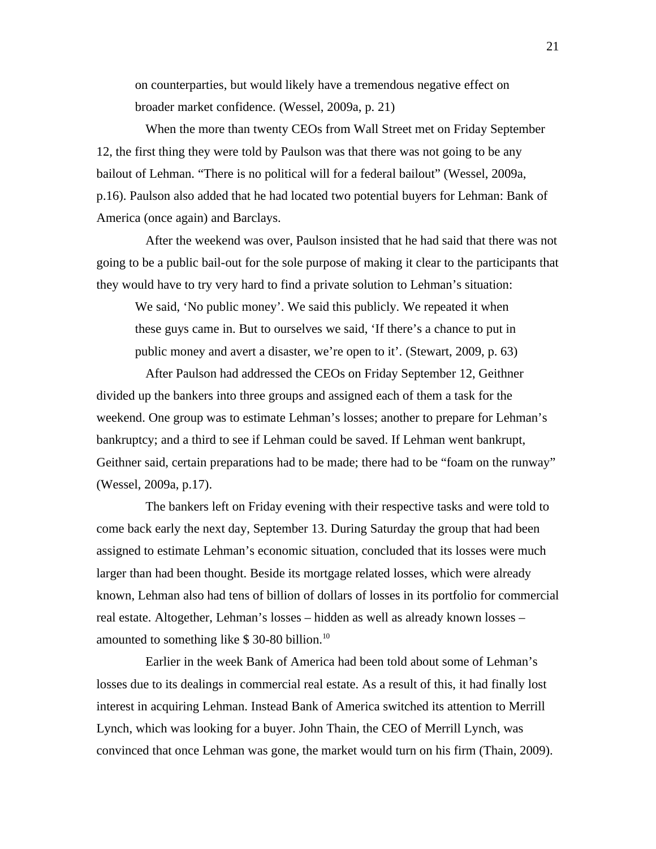on counterparties, but would likely have a tremendous negative effect on broader market confidence. (Wessel, 2009a, p. 21)

When the more than twenty CEOs from Wall Street met on Friday September 12, the first thing they were told by Paulson was that there was not going to be any bailout of Lehman. "There is no political will for a federal bailout" (Wessel, 2009a, p.16). Paulson also added that he had located two potential buyers for Lehman: Bank of America (once again) and Barclays.

After the weekend was over, Paulson insisted that he had said that there was not going to be a public bail-out for the sole purpose of making it clear to the participants that they would have to try very hard to find a private solution to Lehman's situation:

We said, 'No public money'. We said this publicly. We repeated it when these guys came in. But to ourselves we said, 'If there's a chance to put in public money and avert a disaster, we're open to it'. (Stewart, 2009, p. 63)

After Paulson had addressed the CEOs on Friday September 12, Geithner divided up the bankers into three groups and assigned each of them a task for the weekend. One group was to estimate Lehman's losses; another to prepare for Lehman's bankruptcy; and a third to see if Lehman could be saved. If Lehman went bankrupt, Geithner said, certain preparations had to be made; there had to be "foam on the runway" (Wessel, 2009a, p.17).

The bankers left on Friday evening with their respective tasks and were told to come back early the next day, September 13. During Saturday the group that had been assigned to estimate Lehman's economic situation, concluded that its losses were much larger than had been thought. Beside its mortgage related losses, which were already known, Lehman also had tens of billion of dollars of losses in its portfolio for commercial real estate. Altogether, Lehman's losses – hidden as well as already known losses – amounted to something like \$30-80 billion.<sup>[10](#page-49-2)</sup>

Earlier in the week Bank of America had been told about some of Lehman's losses due to its dealings in commercial real estate. As a result of this, it had finally lost interest in acquiring Lehman. Instead Bank of America switched its attention to Merrill Lynch, which was looking for a buyer. John Thain, the CEO of Merrill Lynch, was convinced that once Lehman was gone, the market would turn on his firm (Thain, 2009).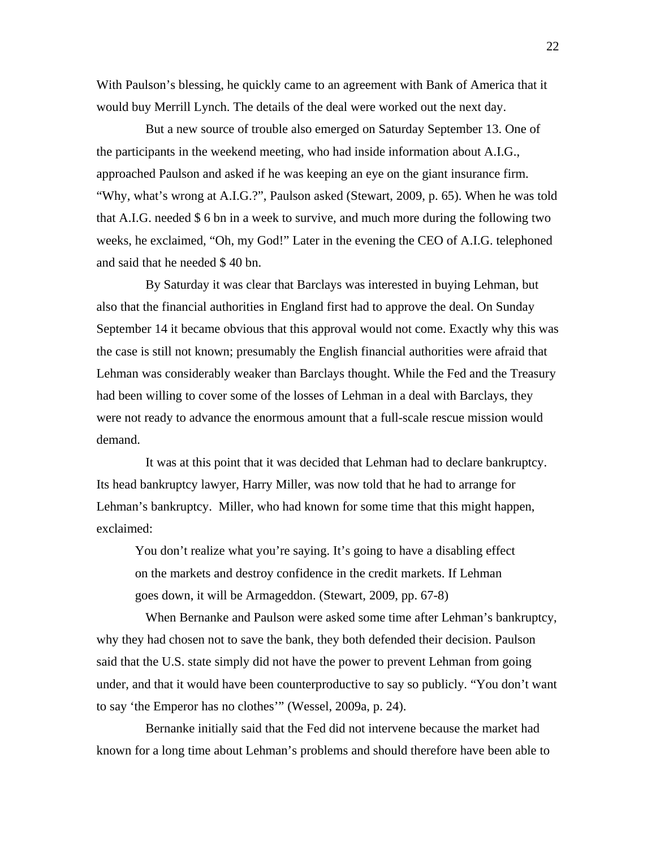With Paulson's blessing, he quickly came to an agreement with Bank of America that it would buy Merrill Lynch. The details of the deal were worked out the next day.

But a new source of trouble also emerged on Saturday September 13. One of the participants in the weekend meeting, who had inside information about A.I.G., approached Paulson and asked if he was keeping an eye on the giant insurance firm. "Why, what's wrong at A.I.G.?", Paulson asked (Stewart, 2009, p. 65). When he was told that A.I.G. needed \$ 6 bn in a week to survive, and much more during the following two weeks, he exclaimed, "Oh, my God!" Later in the evening the CEO of A.I.G. telephoned and said that he needed \$ 40 bn.

By Saturday it was clear that Barclays was interested in buying Lehman, but also that the financial authorities in England first had to approve the deal. On Sunday September 14 it became obvious that this approval would not come. Exactly why this was the case is still not known; presumably the English financial authorities were afraid that Lehman was considerably weaker than Barclays thought. While the Fed and the Treasury had been willing to cover some of the losses of Lehman in a deal with Barclays, they were not ready to advance the enormous amount that a full-scale rescue mission would demand.

It was at this point that it was decided that Lehman had to declare bankruptcy. Its head bankruptcy lawyer, Harry Miller, was now told that he had to arrange for Lehman's bankruptcy. Miller, who had known for some time that this might happen, exclaimed:

You don't realize what you're saying. It's going to have a disabling effect on the markets and destroy confidence in the credit markets. If Lehman goes down, it will be Armageddon. (Stewart, 2009, pp. 67-8)

When Bernanke and Paulson were asked some time after Lehman's bankruptcy, why they had chosen not to save the bank, they both defended their decision. Paulson said that the U.S. state simply did not have the power to prevent Lehman from going under, and that it would have been counterproductive to say so publicly. "You don't want to say 'the Emperor has no clothes'" (Wessel, 2009a, p. 24).

Bernanke initially said that the Fed did not intervene because the market had known for a long time about Lehman's problems and should therefore have been able to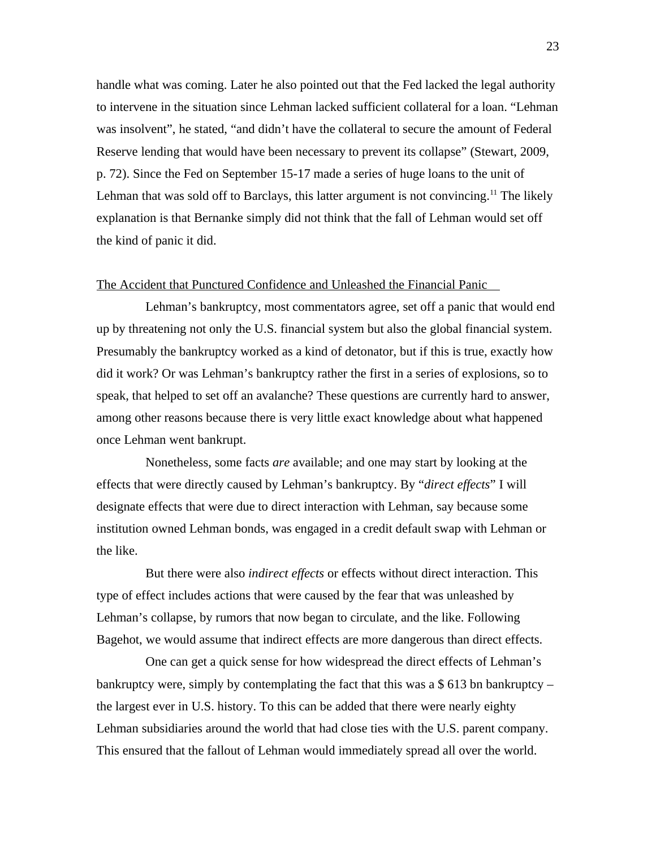handle what was coming. Later he also pointed out that the Fed lacked the legal authority to intervene in the situation since Lehman lacked sufficient collateral for a loan. "Lehman was insolvent", he stated, "and didn't have the collateral to secure the amount of Federal Reserve lending that would have been necessary to prevent its collapse" (Stewart, 2009, p. 72). Since the Fed on September 15-17 made a series of huge loans to the unit of Lehman that was sold off to Barclays, this latter argument is not convincing.<sup>[11](#page-49-3)</sup> The likely explanation is that Bernanke simply did not think that the fall of Lehman would set off the kind of panic it did.

### The Accident that Punctured Confidence and Unleashed the Financial Panic

Lehman's bankruptcy, most commentators agree, set off a panic that would end up by threatening not only the U.S. financial system but also the global financial system. Presumably the bankruptcy worked as a kind of detonator, but if this is true, exactly how did it work? Or was Lehman's bankruptcy rather the first in a series of explosions, so to speak, that helped to set off an avalanche? These questions are currently hard to answer, among other reasons because there is very little exact knowledge about what happened once Lehman went bankrupt.

Nonetheless, some facts *are* available; and one may start by looking at the effects that were directly caused by Lehman's bankruptcy. By "*direct effects*" I will designate effects that were due to direct interaction with Lehman, say because some institution owned Lehman bonds, was engaged in a credit default swap with Lehman or the like.

But there were also *indirect effects* or effects without direct interaction. This type of effect includes actions that were caused by the fear that was unleashed by Lehman's collapse, by rumors that now began to circulate, and the like. Following Bagehot, we would assume that indirect effects are more dangerous than direct effects.

One can get a quick sense for how widespread the direct effects of Lehman's bankruptcy were, simply by contemplating the fact that this was a  $$613$  bn bankruptcy – the largest ever in U.S. history. To this can be added that there were nearly eighty Lehman subsidiaries around the world that had close ties with the U.S. parent company. This ensured that the fallout of Lehman would immediately spread all over the world.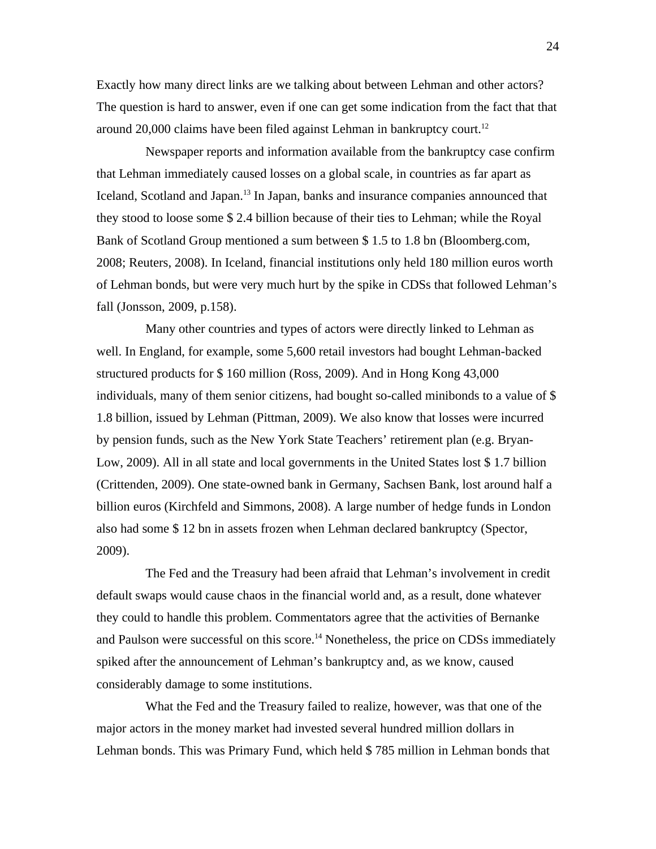Exactly how many direct links are we talking about between Lehman and other actors? The question is hard to answer, even if one can get some indication from the fact that that around 20,000 claims have been filed against Lehman in bankruptcy court.<sup>[12](#page-49-4)</sup>

Newspaper reports and information available from the bankruptcy case confirm that Lehman immediately caused losses on a global scale, in countries as far apart as Iceland, Scotland and Japan.<sup>[13](#page-49-5)</sup> In Japan, banks and insurance companies announced that they stood to loose some \$ 2.4 billion because of their ties to Lehman; while the Royal Bank of Scotland Group mentioned a sum between \$ 1.5 to 1.8 bn (Bloomberg.com, 2008; Reuters, 2008). In Iceland, financial institutions only held 180 million euros worth of Lehman bonds, but were very much hurt by the spike in CDSs that followed Lehman's fall (Jonsson, 2009, p.158).

Many other countries and types of actors were directly linked to Lehman as well. In England, for example, some 5,600 retail investors had bought Lehman-backed structured products for \$ 160 million (Ross, 2009). And in Hong Kong 43,000 individuals, many of them senior citizens, had bought so-called minibonds to a value of \$ 1.8 billion, issued by Lehman (Pittman, 2009). We also know that losses were incurred by pension funds, such as the New York State Teachers' retirement plan (e.g. Bryan-Low, 2009). All in all state and local governments in the United States lost \$ 1.7 billion (Crittenden, 2009). One state-owned bank in Germany, Sachsen Bank, lost around half a billion euros (Kirchfeld and Simmons, 2008). A large number of hedge funds in London also had some \$ 12 bn in assets frozen when Lehman declared bankruptcy (Spector, 2009).

The Fed and the Treasury had been afraid that Lehman's involvement in credit default swaps would cause chaos in the financial world and, as a result, done whatever they could to handle this problem. Commentators agree that the activities of Bernanke and Paulson were successful on this score.<sup>[14](#page-49-6)</sup> Nonetheless, the price on CDSs immediately spiked after the announcement of Lehman's bankruptcy and, as we know, caused considerably damage to some institutions.

What the Fed and the Treasury failed to realize, however, was that one of the major actors in the money market had invested several hundred million dollars in Lehman bonds. This was Primary Fund, which held \$ 785 million in Lehman bonds that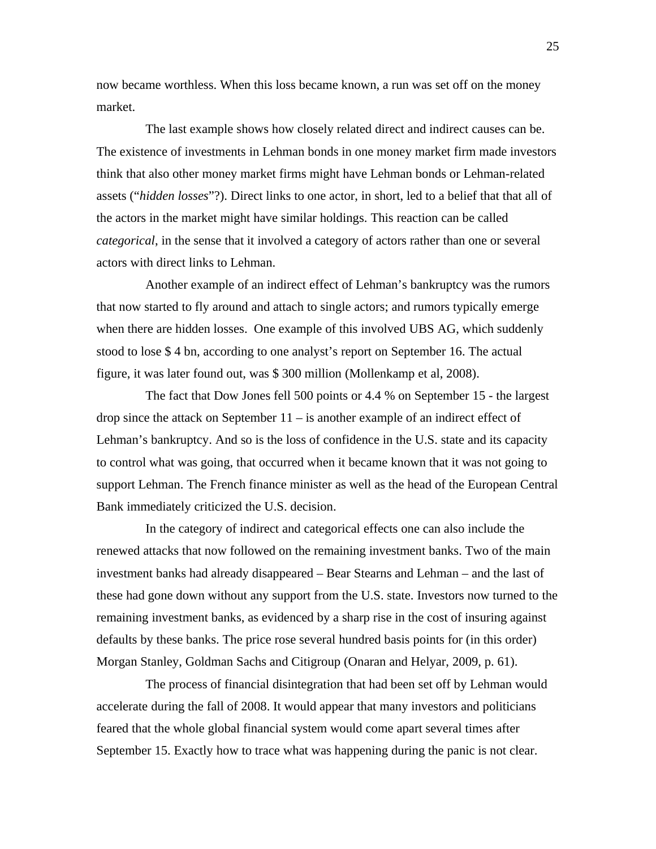now became worthless. When this loss became known, a run was set off on the money market.

The last example shows how closely related direct and indirect causes can be. The existence of investments in Lehman bonds in one money market firm made investors think that also other money market firms might have Lehman bonds or Lehman-related assets ("*hidden losses*"?). Direct links to one actor, in short, led to a belief that that all of the actors in the market might have similar holdings. This reaction can be called *categorical*, in the sense that it involved a category of actors rather than one or several actors with direct links to Lehman.

Another example of an indirect effect of Lehman's bankruptcy was the rumors that now started to fly around and attach to single actors; and rumors typically emerge when there are hidden losses. One example of this involved UBS AG, which suddenly stood to lose \$ 4 bn, according to one analyst's report on September 16. The actual figure, it was later found out, was \$ 300 million (Mollenkamp et al, 2008).

The fact that Dow Jones fell 500 points or 4.4 % on September 15 - the largest drop since the attack on September  $11 -$  is another example of an indirect effect of Lehman's bankruptcy. And so is the loss of confidence in the U.S. state and its capacity to control what was going, that occurred when it became known that it was not going to support Lehman. The French finance minister as well as the head of the European Central Bank immediately criticized the U.S. decision.

In the category of indirect and categorical effects one can also include the renewed attacks that now followed on the remaining investment banks. Two of the main investment banks had already disappeared – Bear Stearns and Lehman – and the last of these had gone down without any support from the U.S. state. Investors now turned to the remaining investment banks, as evidenced by a sharp rise in the cost of insuring against defaults by these banks. The price rose several hundred basis points for (in this order) Morgan Stanley, Goldman Sachs and Citigroup (Onaran and Helyar, 2009, p. 61).

The process of financial disintegration that had been set off by Lehman would accelerate during the fall of 2008. It would appear that many investors and politicians feared that the whole global financial system would come apart several times after September 15. Exactly how to trace what was happening during the panic is not clear.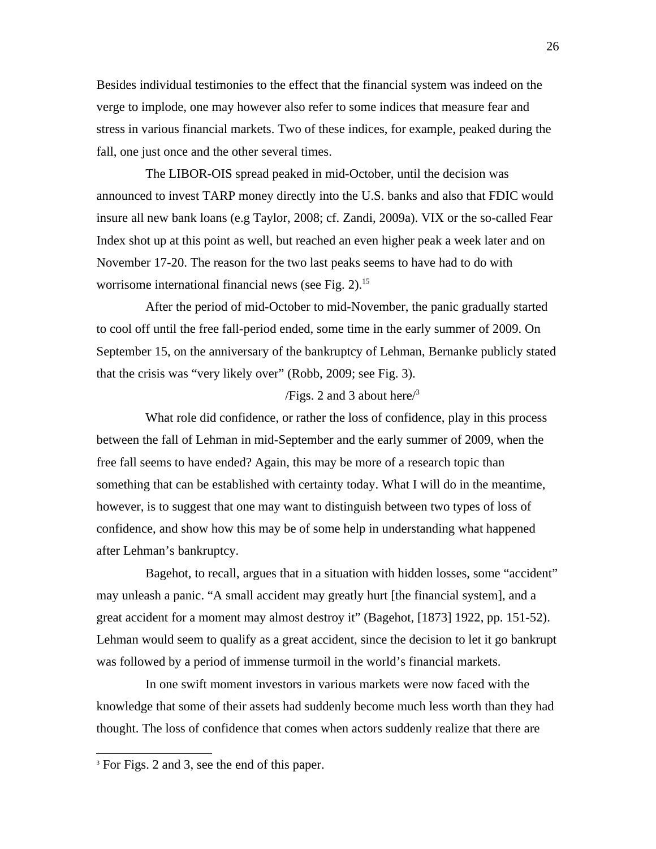Besides individual testimonies to the effect that the financial system was indeed on the verge to implode, one may however also refer to some indices that measure fear and stress in various financial markets. Two of these indices, for example, peaked during the fall, one just once and the other several times.

The LIBOR-OIS spread peaked in mid-October, until the decision was announced to invest TARP money directly into the U.S. banks and also that FDIC would insure all new bank loans (e.g Taylor, 2008; cf. Zandi, 2009a). VIX or the so-called Fear Index shot up at this point as well, but reached an even higher peak a week later and on November 17-20. The reason for the two last peaks seems to have had to do with worrisome international financial news (see Fig.  $2$ ).<sup>[15](#page-50-0)</sup>

After the period of mid-October to mid-November, the panic gradually started to cool off until the free fall-period ended, some time in the early summer of 2009. On September 15, on the anniversary of the bankruptcy of Lehman, Bernanke publicly stated that the crisis was "very likely over" (Robb, 2009; see Fig. 3).

## /Figs. 2 and [3](#page-25-0) about here $\lambda^3$

What role did confidence, or rather the loss of confidence, play in this process between the fall of Lehman in mid-September and the early summer of 2009, when the free fall seems to have ended? Again, this may be more of a research topic than something that can be established with certainty today. What I will do in the meantime, however, is to suggest that one may want to distinguish between two types of loss of confidence, and show how this may be of some help in understanding what happened after Lehman's bankruptcy.

Bagehot, to recall, argues that in a situation with hidden losses, some "accident" may unleash a panic. "A small accident may greatly hurt [the financial system], and a great accident for a moment may almost destroy it" (Bagehot, [1873] 1922, pp. 151-52). Lehman would seem to qualify as a great accident, since the decision to let it go bankrupt was followed by a period of immense turmoil in the world's financial markets.

In one swift moment investors in various markets were now faced with the knowledge that some of their assets had suddenly become much less worth than they had thought. The loss of confidence that comes when actors suddenly realize that there are

<span id="page-25-0"></span><sup>&</sup>lt;sup>3</sup> For Figs. 2 and 3, see the end of this paper.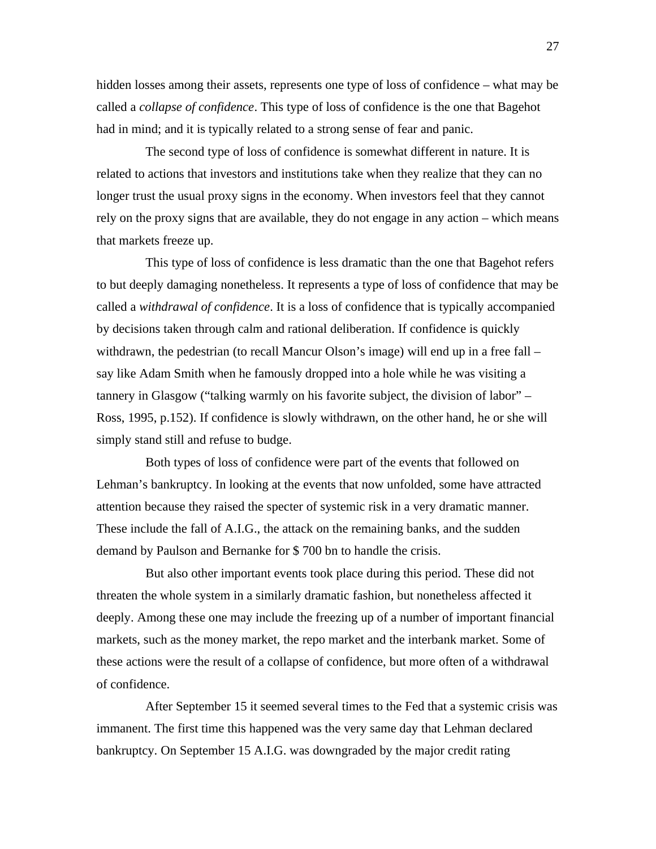hidden losses among their assets, represents one type of loss of confidence – what may be called a *collapse of confidence*. This type of loss of confidence is the one that Bagehot had in mind; and it is typically related to a strong sense of fear and panic.

The second type of loss of confidence is somewhat different in nature. It is related to actions that investors and institutions take when they realize that they can no longer trust the usual proxy signs in the economy. When investors feel that they cannot rely on the proxy signs that are available, they do not engage in any action – which means that markets freeze up.

This type of loss of confidence is less dramatic than the one that Bagehot refers to but deeply damaging nonetheless. It represents a type of loss of confidence that may be called a *withdrawal of confidence*. It is a loss of confidence that is typically accompanied by decisions taken through calm and rational deliberation. If confidence is quickly withdrawn, the pedestrian (to recall Mancur Olson's image) will end up in a free fall  $$ say like Adam Smith when he famously dropped into a hole while he was visiting a tannery in Glasgow ("talking warmly on his favorite subject, the division of labor" – Ross, 1995, p.152). If confidence is slowly withdrawn, on the other hand, he or she will simply stand still and refuse to budge.

Both types of loss of confidence were part of the events that followed on Lehman's bankruptcy. In looking at the events that now unfolded, some have attracted attention because they raised the specter of systemic risk in a very dramatic manner. These include the fall of A.I.G., the attack on the remaining banks, and the sudden demand by Paulson and Bernanke for \$ 700 bn to handle the crisis.

But also other important events took place during this period. These did not threaten the whole system in a similarly dramatic fashion, but nonetheless affected it deeply. Among these one may include the freezing up of a number of important financial markets, such as the money market, the repo market and the interbank market. Some of these actions were the result of a collapse of confidence, but more often of a withdrawal of confidence.

After September 15 it seemed several times to the Fed that a systemic crisis was immanent. The first time this happened was the very same day that Lehman declared bankruptcy. On September 15 A.I.G. was downgraded by the major credit rating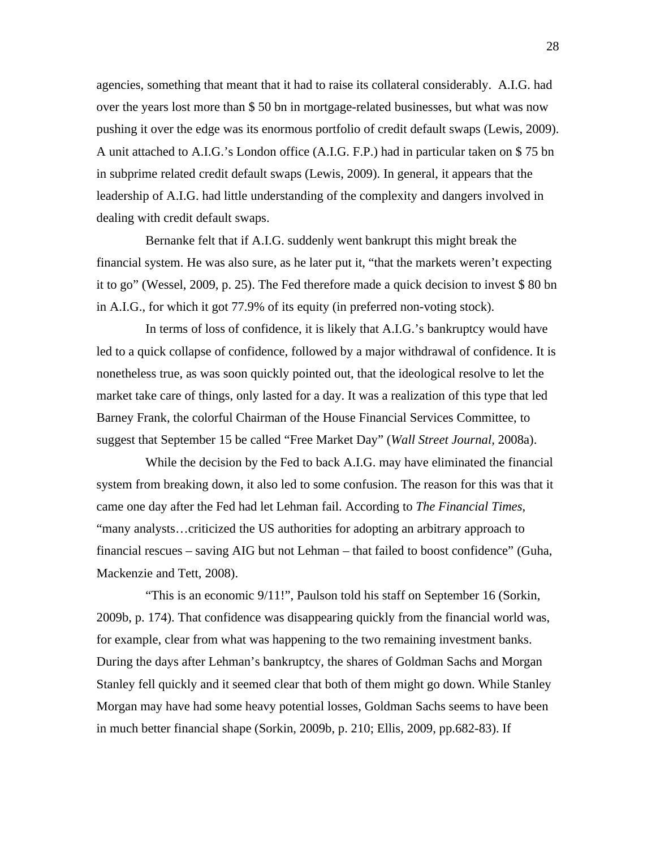agencies, something that meant that it had to raise its collateral considerably. A.I.G. had over the years lost more than \$ 50 bn in mortgage-related businesses, but what was now pushing it over the edge was its enormous portfolio of credit default swaps (Lewis, 2009). A unit attached to A.I.G.'s London office (A.I.G. F.P.) had in particular taken on \$ 75 bn in subprime related credit default swaps (Lewis, 2009). In general, it appears that the leadership of A.I.G. had little understanding of the complexity and dangers involved in dealing with credit default swaps.

Bernanke felt that if A.I.G. suddenly went bankrupt this might break the financial system. He was also sure, as he later put it, "that the markets weren't expecting it to go" (Wessel, 2009, p. 25). The Fed therefore made a quick decision to invest \$ 80 bn in A.I.G., for which it got 77.9% of its equity (in preferred non-voting stock).

In terms of loss of confidence, it is likely that A.I.G.'s bankruptcy would have led to a quick collapse of confidence, followed by a major withdrawal of confidence. It is nonetheless true, as was soon quickly pointed out, that the ideological resolve to let the market take care of things, only lasted for a day. It was a realization of this type that led Barney Frank, the colorful Chairman of the House Financial Services Committee, to suggest that September 15 be called "Free Market Day" (*Wall Street Journal,* 2008a).

While the decision by the Fed to back A.I.G. may have eliminated the financial system from breaking down, it also led to some confusion. The reason for this was that it came one day after the Fed had let Lehman fail. According to *The Financial Times*, "many analysts…criticized the US authorities for adopting an arbitrary approach to financial rescues – saving AIG but not Lehman – that failed to boost confidence" (Guha, Mackenzie and Tett, 2008).

"This is an economic 9/11!", Paulson told his staff on September 16 (Sorkin, 2009b, p. 174). That confidence was disappearing quickly from the financial world was, for example, clear from what was happening to the two remaining investment banks. During the days after Lehman's bankruptcy, the shares of Goldman Sachs and Morgan Stanley fell quickly and it seemed clear that both of them might go down. While Stanley Morgan may have had some heavy potential losses, Goldman Sachs seems to have been in much better financial shape (Sorkin, 2009b, p. 210; Ellis, 2009, pp.682-83). If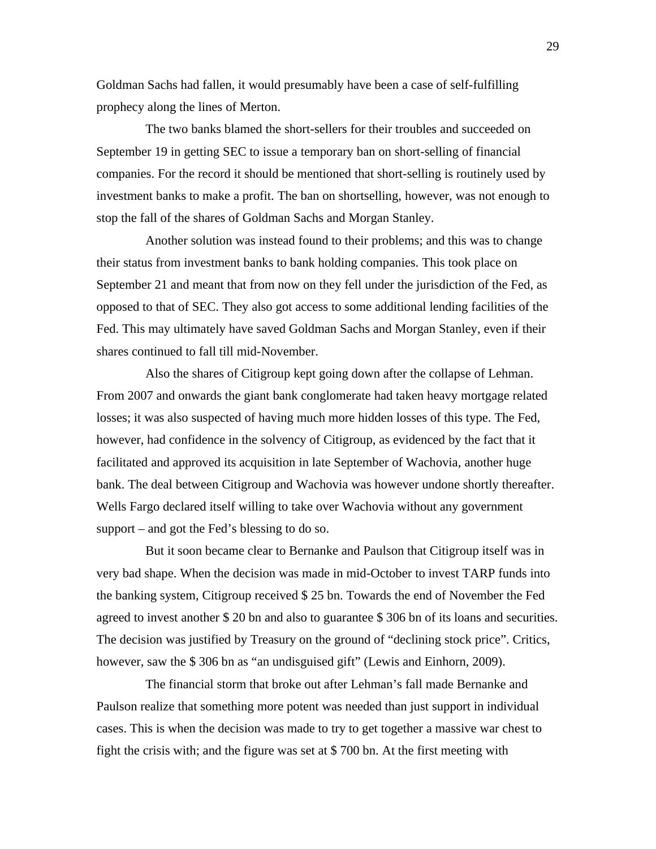Goldman Sachs had fallen, it would presumably have been a case of self-fulfilling prophecy along the lines of Merton.

The two banks blamed the short-sellers for their troubles and succeeded on September 19 in getting SEC to issue a temporary ban on short-selling of financial companies. For the record it should be mentioned that short-selling is routinely used by investment banks to make a profit. The ban on shortselling, however, was not enough to stop the fall of the shares of Goldman Sachs and Morgan Stanley.

Another solution was instead found to their problems; and this was to change their status from investment banks to bank holding companies. This took place on September 21 and meant that from now on they fell under the jurisdiction of the Fed, as opposed to that of SEC. They also got access to some additional lending facilities of the Fed. This may ultimately have saved Goldman Sachs and Morgan Stanley, even if their shares continued to fall till mid-November.

Also the shares of Citigroup kept going down after the collapse of Lehman. From 2007 and onwards the giant bank conglomerate had taken heavy mortgage related losses; it was also suspected of having much more hidden losses of this type. The Fed, however, had confidence in the solvency of Citigroup, as evidenced by the fact that it facilitated and approved its acquisition in late September of Wachovia, another huge bank. The deal between Citigroup and Wachovia was however undone shortly thereafter. Wells Fargo declared itself willing to take over Wachovia without any government support – and got the Fed's blessing to do so.

But it soon became clear to Bernanke and Paulson that Citigroup itself was in very bad shape. When the decision was made in mid-October to invest TARP funds into the banking system, Citigroup received \$ 25 bn. Towards the end of November the Fed agreed to invest another \$ 20 bn and also to guarantee \$ 306 bn of its loans and securities. The decision was justified by Treasury on the ground of "declining stock price". Critics, however, saw the \$ 306 bn as "an undisguised gift" (Lewis and Einhorn, 2009).

The financial storm that broke out after Lehman's fall made Bernanke and Paulson realize that something more potent was needed than just support in individual cases. This is when the decision was made to try to get together a massive war chest to fight the crisis with; and the figure was set at \$ 700 bn. At the first meeting with

29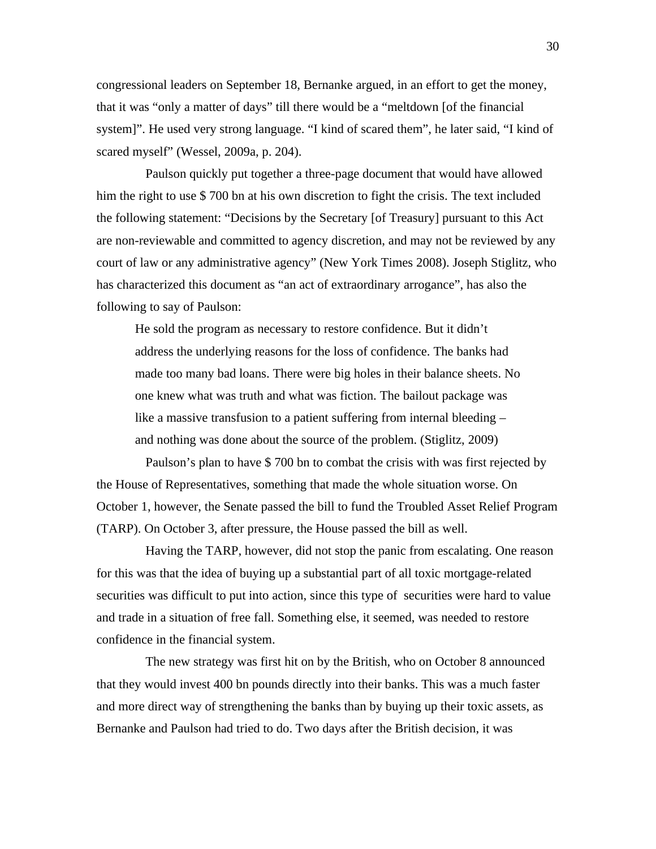congressional leaders on September 18, Bernanke argued, in an effort to get the money, that it was "only a matter of days" till there would be a "meltdown [of the financial system]". He used very strong language. "I kind of scared them", he later said, "I kind of scared myself" (Wessel, 2009a, p. 204).

Paulson quickly put together a three-page document that would have allowed him the right to use \$ 700 bn at his own discretion to fight the crisis. The text included the following statement: "Decisions by the Secretary [of Treasury] pursuant to this Act are non-reviewable and committed to agency discretion, and may not be reviewed by any court of law or any administrative agency" (New York Times 2008). Joseph Stiglitz, who has characterized this document as "an act of extraordinary arrogance", has also the following to say of Paulson:

He sold the program as necessary to restore confidence. But it didn't address the underlying reasons for the loss of confidence. The banks had made too many bad loans. There were big holes in their balance sheets. No one knew what was truth and what was fiction. The bailout package was like a massive transfusion to a patient suffering from internal bleeding – and nothing was done about the source of the problem. (Stiglitz, 2009)

Paulson's plan to have \$ 700 bn to combat the crisis with was first rejected by the House of Representatives, something that made the whole situation worse. On October 1, however, the Senate passed the bill to fund the Troubled Asset Relief Program (TARP). On October 3, after pressure, the House passed the bill as well.

Having the TARP, however, did not stop the panic from escalating. One reason for this was that the idea of buying up a substantial part of all toxic mortgage-related securities was difficult to put into action, since this type of securities were hard to value and trade in a situation of free fall. Something else, it seemed, was needed to restore confidence in the financial system.

The new strategy was first hit on by the British, who on October 8 announced that they would invest 400 bn pounds directly into their banks. This was a much faster and more direct way of strengthening the banks than by buying up their toxic assets, as Bernanke and Paulson had tried to do. Two days after the British decision, it was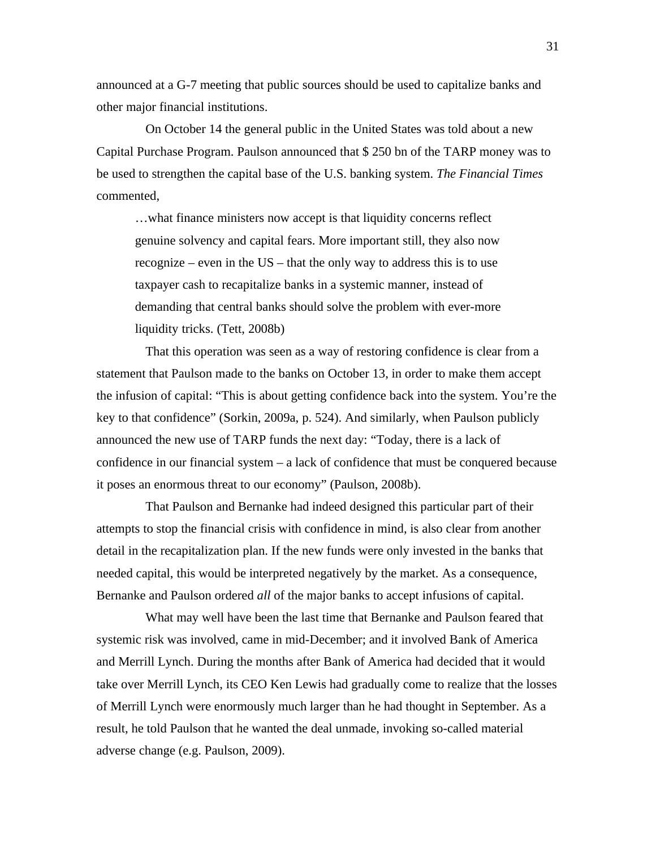announced at a G-7 meeting that public sources should be used to capitalize banks and other major financial institutions.

On October 14 the general public in the United States was told about a new Capital Purchase Program. Paulson announced that \$ 250 bn of the TARP money was to be used to strengthen the capital base of the U.S. banking system. *The Financial Times* commented,

…what finance ministers now accept is that liquidity concerns reflect genuine solvency and capital fears. More important still, they also now recognize – even in the US – that the only way to address this is to use taxpayer cash to recapitalize banks in a systemic manner, instead of demanding that central banks should solve the problem with ever-more liquidity tricks. (Tett, 2008b)

That this operation was seen as a way of restoring confidence is clear from a statement that Paulson made to the banks on October 13, in order to make them accept the infusion of capital: "This is about getting confidence back into the system. You're the key to that confidence" (Sorkin, 2009a, p. 524). And similarly, when Paulson publicly announced the new use of TARP funds the next day: "Today, there is a lack of confidence in our financial system – a lack of confidence that must be conquered because it poses an enormous threat to our economy" (Paulson, 2008b).

That Paulson and Bernanke had indeed designed this particular part of their attempts to stop the financial crisis with confidence in mind, is also clear from another detail in the recapitalization plan. If the new funds were only invested in the banks that needed capital, this would be interpreted negatively by the market. As a consequence, Bernanke and Paulson ordered *all* of the major banks to accept infusions of capital.

What may well have been the last time that Bernanke and Paulson feared that systemic risk was involved, came in mid-December; and it involved Bank of America and Merrill Lynch. During the months after Bank of America had decided that it would take over Merrill Lynch, its CEO Ken Lewis had gradually come to realize that the losses of Merrill Lynch were enormously much larger than he had thought in September. As a result, he told Paulson that he wanted the deal unmade, invoking so-called material adverse change (e.g. Paulson, 2009).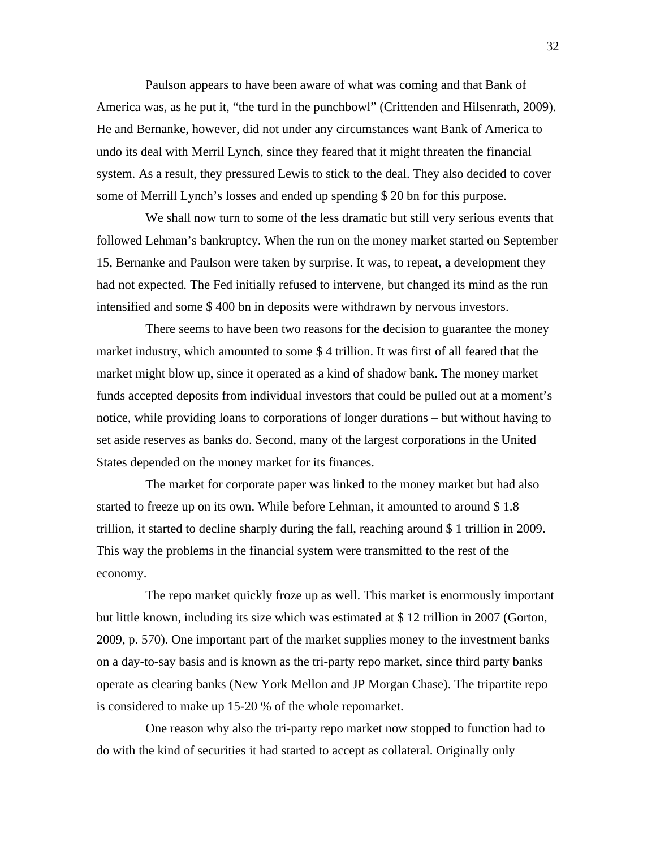Paulson appears to have been aware of what was coming and that Bank of America was, as he put it, "the turd in the punchbowl" (Crittenden and Hilsenrath, 2009). He and Bernanke, however, did not under any circumstances want Bank of America to undo its deal with Merril Lynch, since they feared that it might threaten the financial system. As a result, they pressured Lewis to stick to the deal. They also decided to cover some of Merrill Lynch's losses and ended up spending \$ 20 bn for this purpose.

We shall now turn to some of the less dramatic but still very serious events that followed Lehman's bankruptcy. When the run on the money market started on September 15, Bernanke and Paulson were taken by surprise. It was, to repeat, a development they had not expected. The Fed initially refused to intervene, but changed its mind as the run intensified and some \$ 400 bn in deposits were withdrawn by nervous investors.

There seems to have been two reasons for the decision to guarantee the money market industry, which amounted to some \$ 4 trillion. It was first of all feared that the market might blow up, since it operated as a kind of shadow bank. The money market funds accepted deposits from individual investors that could be pulled out at a moment's notice, while providing loans to corporations of longer durations – but without having to set aside reserves as banks do. Second, many of the largest corporations in the United States depended on the money market for its finances.

The market for corporate paper was linked to the money market but had also started to freeze up on its own. While before Lehman, it amounted to around \$1.8 trillion, it started to decline sharply during the fall, reaching around \$ 1 trillion in 2009. This way the problems in the financial system were transmitted to the rest of the economy.

The repo market quickly froze up as well. This market is enormously important but little known, including its size which was estimated at \$ 12 trillion in 2007 (Gorton, 2009, p. 570). One important part of the market supplies money to the investment banks on a day-to-say basis and is known as the tri-party repo market, since third party banks operate as clearing banks (New York Mellon and JP Morgan Chase). The tripartite repo is considered to make up 15-20 % of the whole repomarket.

One reason why also the tri-party repo market now stopped to function had to do with the kind of securities it had started to accept as collateral. Originally only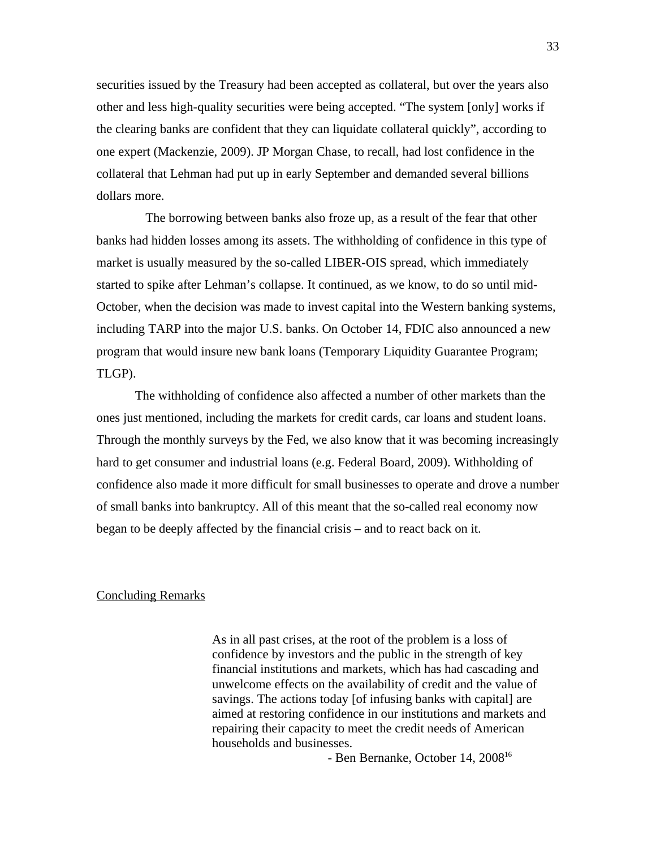securities issued by the Treasury had been accepted as collateral, but over the years also other and less high-quality securities were being accepted. "The system [only] works if the clearing banks are confident that they can liquidate collateral quickly", according to one expert (Mackenzie, 2009). JP Morgan Chase, to recall, had lost confidence in the collateral that Lehman had put up in early September and demanded several billions dollars more.

The borrowing between banks also froze up, as a result of the fear that other banks had hidden losses among its assets. The withholding of confidence in this type of market is usually measured by the so-called LIBER-OIS spread, which immediately started to spike after Lehman's collapse. It continued, as we know, to do so until mid-October, when the decision was made to invest capital into the Western banking systems, including TARP into the major U.S. banks. On October 14, FDIC also announced a new program that would insure new bank loans (Temporary Liquidity Guarantee Program; TLGP).

The withholding of confidence also affected a number of other markets than the ones just mentioned, including the markets for credit cards, car loans and student loans. Through the monthly surveys by the Fed, we also know that it was becoming increasingly hard to get consumer and industrial loans (e.g. Federal Board, 2009). Withholding of confidence also made it more difficult for small businesses to operate and drove a number of small banks into bankruptcy. All of this meant that the so-called real economy now began to be deeply affected by the financial crisis – and to react back on it.

## Concluding Remarks

As in all past crises, at the root of the problem is a loss of confidence by investors and the public in the strength of key financial institutions and markets, which has had cascading and unwelcome effects on the availability of credit and the value of savings. The actions today [of infusing banks with capital] are aimed at restoring confidence in our institutions and markets and repairing their capacity to meet the credit needs of American households and businesses.

- Ben Bernanke, October 14, 2008<sup>[16](#page-50-1)</sup>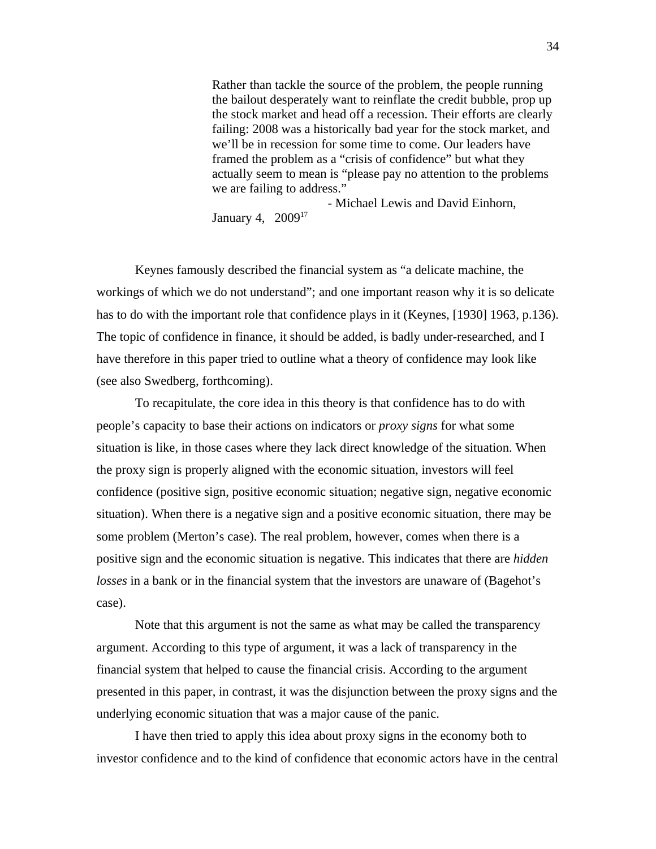Rather than tackle the source of the problem, the people running the bailout desperately want to reinflate the credit bubble, prop up the stock market and head off a recession. Their efforts are clearly failing: 2008 was a historically bad year for the stock market, and we'll be in recession for some time to come. Our leaders have framed the problem as a "crisis of confidence" but what they actually seem to mean is "please pay no attention to the problems we are failing to address."

- Michael Lewis and David Einhorn, January 4, 2009<sup>[17](#page-50-2)</sup>

Keynes famously described the financial system as "a delicate machine, the workings of which we do not understand"; and one important reason why it is so delicate has to do with the important role that confidence plays in it (Keynes, [1930] 1963, p.136). The topic of confidence in finance, it should be added, is badly under-researched, and I have therefore in this paper tried to outline what a theory of confidence may look like (see also Swedberg, forthcoming).

To recapitulate, the core idea in this theory is that confidence has to do with people's capacity to base their actions on indicators or *proxy signs* for what some situation is like, in those cases where they lack direct knowledge of the situation. When the proxy sign is properly aligned with the economic situation, investors will feel confidence (positive sign, positive economic situation; negative sign, negative economic situation). When there is a negative sign and a positive economic situation, there may be some problem (Merton's case). The real problem, however, comes when there is a positive sign and the economic situation is negative. This indicates that there are *hidden losses* in a bank or in the financial system that the investors are unaware of (Bagehot's case).

Note that this argument is not the same as what may be called the transparency argument. According to this type of argument, it was a lack of transparency in the financial system that helped to cause the financial crisis. According to the argument presented in this paper, in contrast, it was the disjunction between the proxy signs and the underlying economic situation that was a major cause of the panic.

I have then tried to apply this idea about proxy signs in the economy both to investor confidence and to the kind of confidence that economic actors have in the central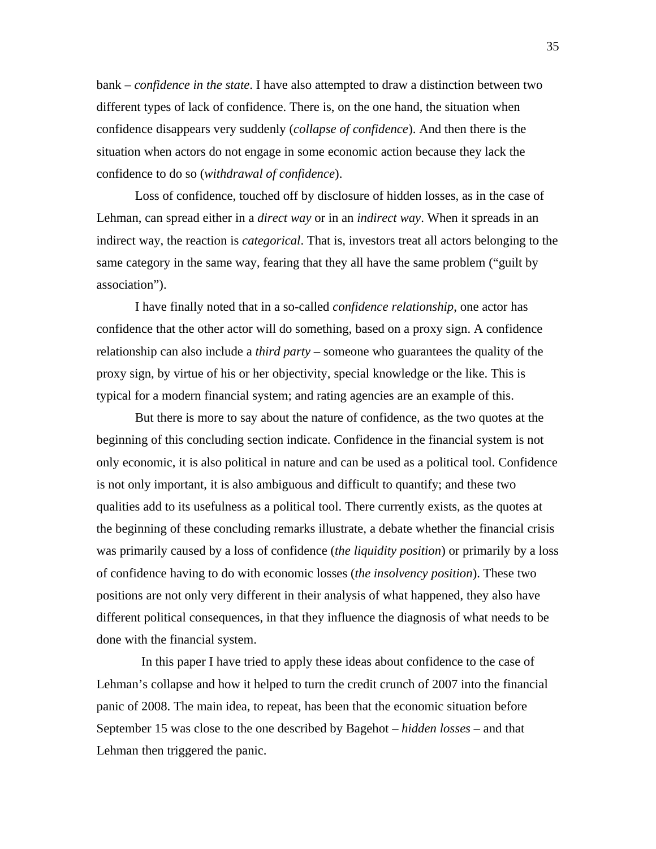bank – *confidence in the state*. I have also attempted to draw a distinction between two different types of lack of confidence. There is, on the one hand, the situation when confidence disappears very suddenly (*collapse of confidence*). And then there is the situation when actors do not engage in some economic action because they lack the confidence to do so (*withdrawal of confidence*).

Loss of confidence, touched off by disclosure of hidden losses, as in the case of Lehman, can spread either in a *direct way* or in an *indirect way*. When it spreads in an indirect way, the reaction is *categorical*. That is, investors treat all actors belonging to the same category in the same way, fearing that they all have the same problem ("guilt by association").

I have finally noted that in a so-called *confidence relationship*, one actor has confidence that the other actor will do something, based on a proxy sign. A confidence relationship can also include a *third party* – someone who guarantees the quality of the proxy sign, by virtue of his or her objectivity, special knowledge or the like. This is typical for a modern financial system; and rating agencies are an example of this.

But there is more to say about the nature of confidence, as the two quotes at the beginning of this concluding section indicate. Confidence in the financial system is not only economic, it is also political in nature and can be used as a political tool. Confidence is not only important, it is also ambiguous and difficult to quantify; and these two qualities add to its usefulness as a political tool. There currently exists, as the quotes at the beginning of these concluding remarks illustrate, a debate whether the financial crisis was primarily caused by a loss of confidence (*the liquidity position*) or primarily by a loss of confidence having to do with economic losses (*the insolvency position*). These two positions are not only very different in their analysis of what happened, they also have different political consequences, in that they influence the diagnosis of what needs to be done with the financial system.

 In this paper I have tried to apply these ideas about confidence to the case of Lehman's collapse and how it helped to turn the credit crunch of 2007 into the financial panic of 2008. The main idea, to repeat, has been that the economic situation before September 15 was close to the one described by Bagehot – *hidden losses* – and that Lehman then triggered the panic.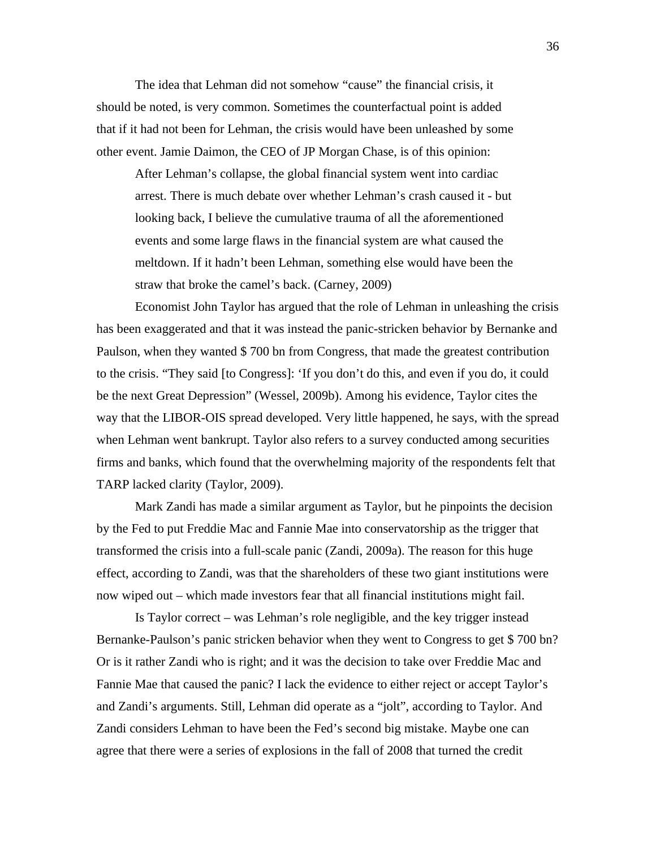The idea that Lehman did not somehow "cause" the financial crisis, it should be noted, is very common. Sometimes the counterfactual point is added that if it had not been for Lehman, the crisis would have been unleashed by some other event. Jamie Daimon, the CEO of JP Morgan Chase, is of this opinion:

After Lehman's collapse, the global financial system went into cardiac arrest. There is much debate over whether Lehman's crash caused it - but looking back, I believe the cumulative trauma of all the aforementioned events and some large flaws in the financial system are what caused the meltdown. If it hadn't been Lehman, something else would have been the straw that broke the camel's back. (Carney, 2009)

Economist John Taylor has argued that the role of Lehman in unleashing the crisis has been exaggerated and that it was instead the panic-stricken behavior by Bernanke and Paulson, when they wanted \$ 700 bn from Congress, that made the greatest contribution to the crisis. "They said [to Congress]: 'If you don't do this, and even if you do, it could be the next Great Depression" (Wessel, 2009b). Among his evidence, Taylor cites the way that the LIBOR-OIS spread developed. Very little happened, he says, with the spread when Lehman went bankrupt. Taylor also refers to a survey conducted among securities firms and banks, which found that the overwhelming majority of the respondents felt that TARP lacked clarity (Taylor, 2009).

Mark Zandi has made a similar argument as Taylor, but he pinpoints the decision by the Fed to put Freddie Mac and Fannie Mae into conservatorship as the trigger that transformed the crisis into a full-scale panic (Zandi, 2009a). The reason for this huge effect, according to Zandi, was that the shareholders of these two giant institutions were now wiped out – which made investors fear that all financial institutions might fail.

Is Taylor correct – was Lehman's role negligible, and the key trigger instead Bernanke-Paulson's panic stricken behavior when they went to Congress to get \$ 700 bn? Or is it rather Zandi who is right; and it was the decision to take over Freddie Mac and Fannie Mae that caused the panic? I lack the evidence to either reject or accept Taylor's and Zandi's arguments. Still, Lehman did operate as a "jolt", according to Taylor. And Zandi considers Lehman to have been the Fed's second big mistake. Maybe one can agree that there were a series of explosions in the fall of 2008 that turned the credit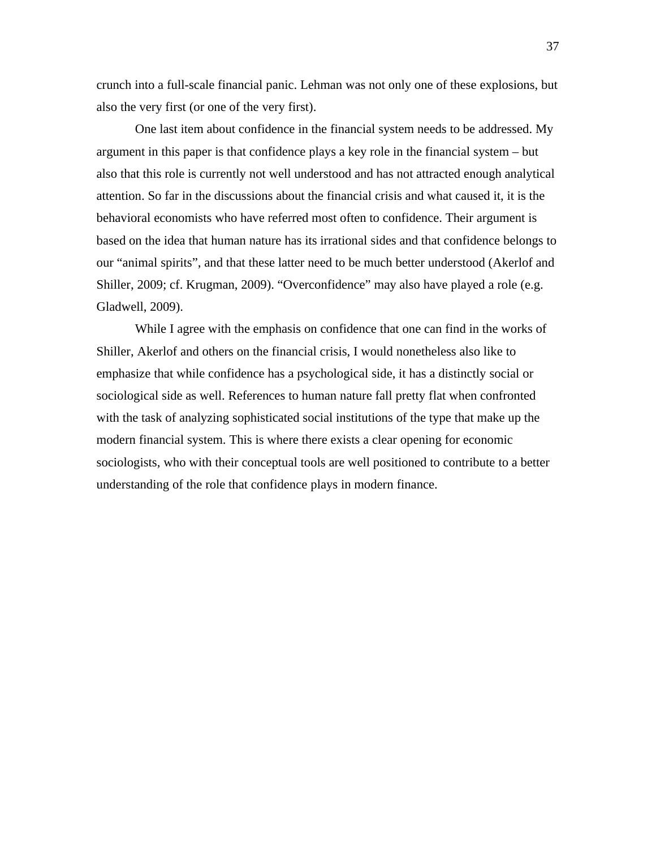crunch into a full-scale financial panic. Lehman was not only one of these explosions, but also the very first (or one of the very first).

One last item about confidence in the financial system needs to be addressed. My argument in this paper is that confidence plays a key role in the financial system – but also that this role is currently not well understood and has not attracted enough analytical attention. So far in the discussions about the financial crisis and what caused it, it is the behavioral economists who have referred most often to confidence. Their argument is based on the idea that human nature has its irrational sides and that confidence belongs to our "animal spirits", and that these latter need to be much better understood (Akerlof and Shiller, 2009; cf. Krugman, 2009). "Overconfidence" may also have played a role (e.g. Gladwell, 2009).

While I agree with the emphasis on confidence that one can find in the works of Shiller, Akerlof and others on the financial crisis, I would nonetheless also like to emphasize that while confidence has a psychological side, it has a distinctly social or sociological side as well. References to human nature fall pretty flat when confronted with the task of analyzing sophisticated social institutions of the type that make up the modern financial system. This is where there exists a clear opening for economic sociologists, who with their conceptual tools are well positioned to contribute to a better understanding of the role that confidence plays in modern finance.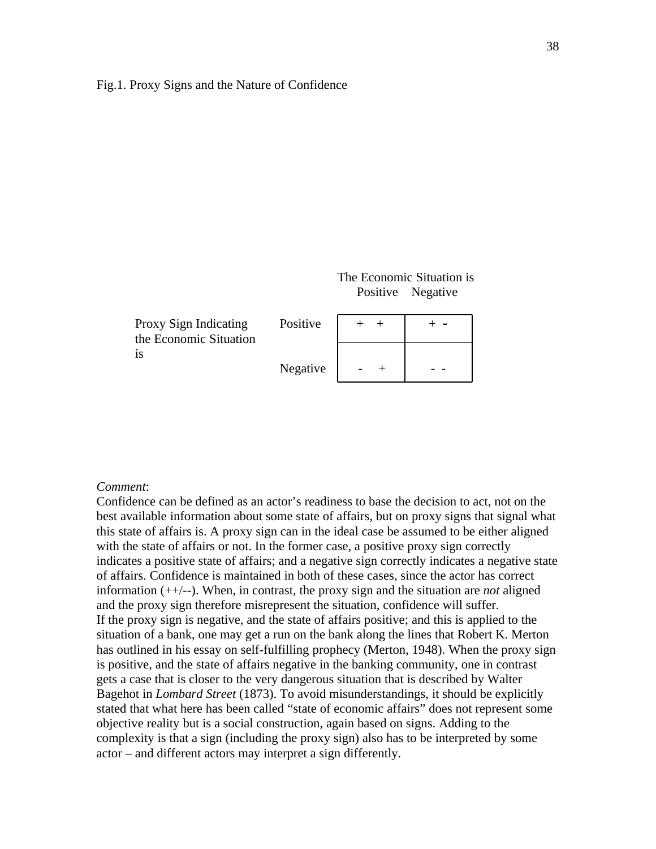#### Fig.1. Proxy Signs and the Nature of Confidence

 The Economic Situation is Positive Negative

| <b>Proxy Sign Indicating</b><br>the Economic Situation | Positive        |  |  |
|--------------------------------------------------------|-----------------|--|--|
|                                                        |                 |  |  |
|                                                        | <b>Negative</b> |  |  |

### *Comment*:

Confidence can be defined as an actor's readiness to base the decision to act, not on the best available information about some state of affairs, but on proxy signs that signal what this state of affairs is. A proxy sign can in the ideal case be assumed to be either aligned with the state of affairs or not. In the former case, a positive proxy sign correctly indicates a positive state of affairs; and a negative sign correctly indicates a negative state of affairs. Confidence is maintained in both of these cases, since the actor has correct information (++/--). When, in contrast, the proxy sign and the situation are *not* aligned and the proxy sign therefore misrepresent the situation, confidence will suffer. If the proxy sign is negative, and the state of affairs positive; and this is applied to the situation of a bank, one may get a run on the bank along the lines that Robert K. Merton has outlined in his essay on self-fulfilling prophecy (Merton, 1948). When the proxy sign is positive, and the state of affairs negative in the banking community, one in contrast gets a case that is closer to the very dangerous situation that is described by Walter Bagehot in *Lombard Street* (1873). To avoid misunderstandings, it should be explicitly stated that what here has been called "state of economic affairs" does not represent some objective reality but is a social construction, again based on signs. Adding to the complexity is that a sign (including the proxy sign) also has to be interpreted by some actor – and different actors may interpret a sign differently.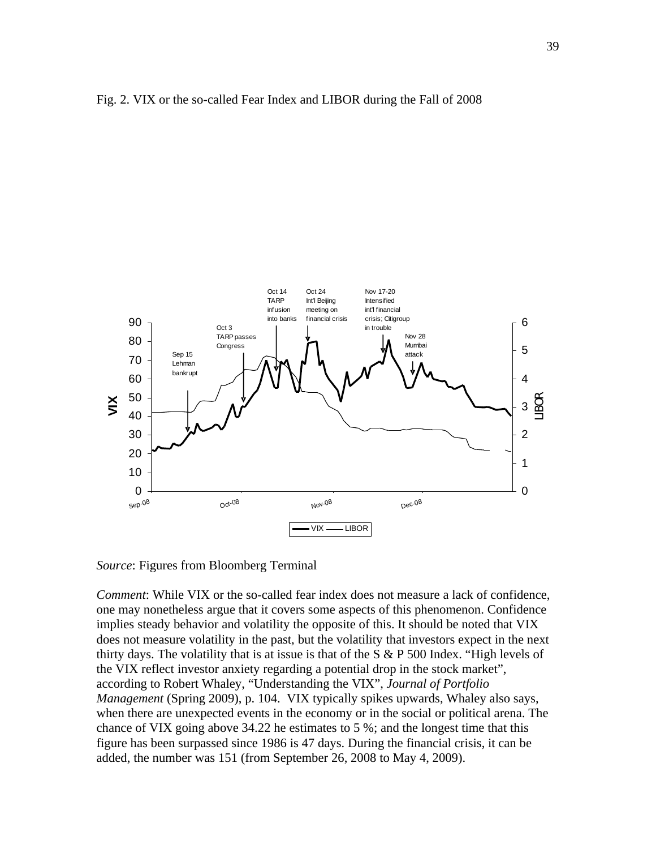



*Source*: Figures from Bloomberg Terminal

*Comment*: While VIX or the so-called fear index does not measure a lack of confidence, one may nonetheless argue that it covers some aspects of this phenomenon. Confidence implies steady behavior and volatility the opposite of this. It should be noted that VIX does not measure volatility in the past, but the volatility that investors expect in the next thirty days. The volatility that is at issue is that of the S & P 500 Index. "High levels of the VIX reflect investor anxiety regarding a potential drop in the stock market", according to Robert Whaley, "Understanding the VIX", *Journal of Portfolio Management* (Spring 2009), p. 104. VIX typically spikes upwards, Whaley also says, when there are unexpected events in the economy or in the social or political arena. The chance of VIX going above 34.22 he estimates to 5 %; and the longest time that this figure has been surpassed since 1986 is 47 days. During the financial crisis, it can be added, the number was 151 (from September 26, 2008 to May 4, 2009).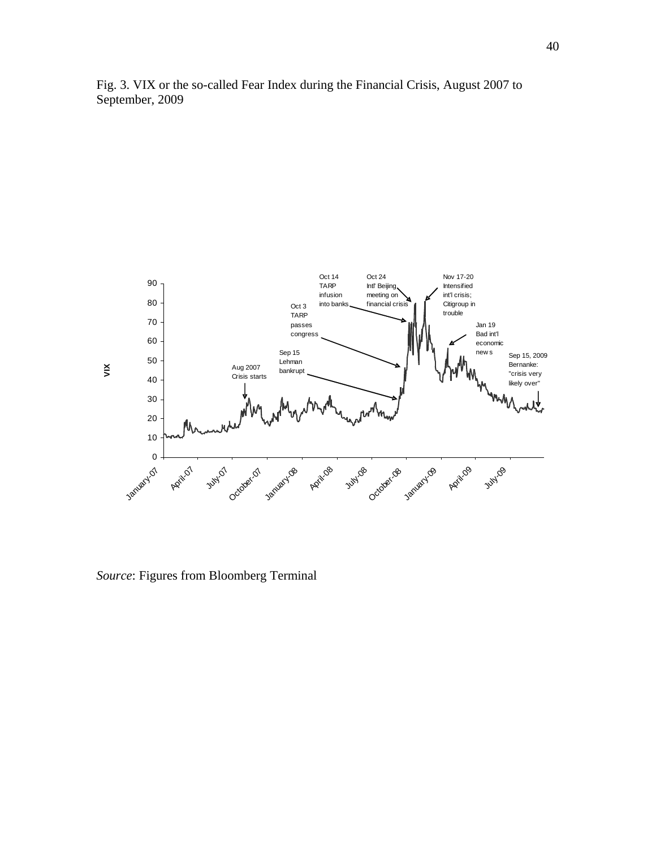Fig. 3. VIX or the so-called Fear Index during the Financial Crisis, August 2007 to September, 2009



*Source*: Figures from Bloomberg Terminal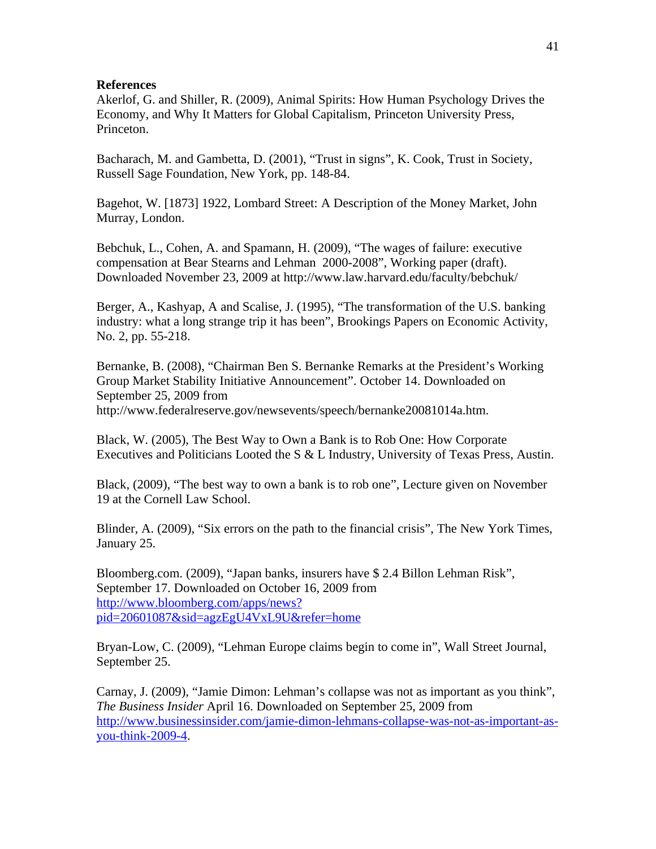## **References**

Akerlof, G. and Shiller, R. (2009), Animal Spirits: How Human Psychology Drives the Economy, and Why It Matters for Global Capitalism, Princeton University Press, Princeton.

Bacharach, M. and Gambetta, D. (2001), "Trust in signs", K. Cook, Trust in Society, Russell Sage Foundation, New York, pp. 148-84.

Bagehot, W. [1873] 1922, Lombard Street: A Description of the Money Market, John Murray, London.

Bebchuk, L., Cohen, A. and Spamann, H. (2009), "The wages of failure: executive compensation at Bear Stearns and Lehman 2000-2008", Working paper (draft). Downloaded November 23, 2009 at http://www.law.harvard.edu/faculty/bebchuk/

Berger, A., Kashyap, A and Scalise, J. (1995), "The transformation of the U.S. banking industry: what a long strange trip it has been", Brookings Papers on Economic Activity, No. 2, pp. 55-218.

Bernanke, B. (2008), "Chairman Ben S. Bernanke Remarks at the President's Working Group Market Stability Initiative Announcement". October 14. Downloaded on September 25, 2009 from http://www.federalreserve.gov/newsevents/speech/bernanke20081014a.htm.

Black, W. (2005), The Best Way to Own a Bank is to Rob One: How Corporate Executives and Politicians Looted the S & L Industry*,* University of Texas Press, Austin.

Black, (2009), "The best way to own a bank is to rob one", Lecture given on November 19 at the Cornell Law School.

Blinder, A. (2009), "Six errors on the path to the financial crisis", The New York Times, January 25.

Bloomberg.com. (2009), "Japan banks, insurers have \$ 2.4 Billon Lehman Risk", September 17. Downloaded on October 16, 2009 from [http://www.bloomberg.com/apps/news?](http://www.bloomberg.com/apps/news?pid=20601087&sid=agzEgU4VxL9U&refer=home) [pid=20601087&sid=agzEgU4VxL9U&refer=home](http://www.bloomberg.com/apps/news?pid=20601087&sid=agzEgU4VxL9U&refer=home)

Bryan-Low, C. (2009), "Lehman Europe claims begin to come in", Wall Street Journal, September 25.

Carnay, J. (2009), "Jamie Dimon: Lehman's collapse was not as important as you think", *The Business Insider* April 16. Downloaded on September 25, 2009 from [http://www.businessinsider.com/jamie-dimon-lehmans-collapse-was-not-as-important-as](http://www.businessinsider.com/jamie-dimon-lehmans-collapse-was-not-as-important-as-you-think-2009-4)[you-think-2009-4.](http://www.businessinsider.com/jamie-dimon-lehmans-collapse-was-not-as-important-as-you-think-2009-4)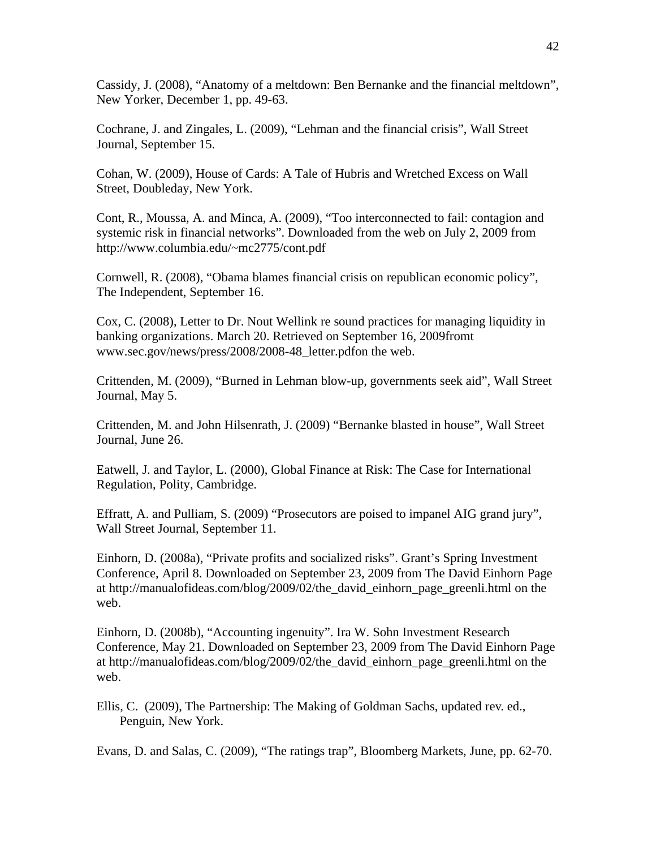Cassidy, J. (2008), "Anatomy of a meltdown: Ben Bernanke and the financial meltdown", New Yorker, December 1, pp. 49-63.

Cochrane, J. and Zingales, L. (2009), "Lehman and the financial crisis", Wall Street Journal, September 15.

Cohan, W. (2009), House of Cards: A Tale of Hubris and Wretched Excess on Wall Street, Doubleday, New York.

Cont, R., Moussa, A. and Minca, A. (2009), "Too interconnected to fail: contagion and systemic risk in financial networks". Downloaded from the web on July 2, 2009 from http://www.columbia.edu/~mc2775/cont.pdf

Cornwell, R. (2008), "Obama blames financial crisis on republican economic policy", The Independent, September 16.

Cox, C. (2008), Letter to Dr. Nout Wellink re sound practices for managing liquidity in banking organizations. March 20. Retrieved on September 16, 2009fromt www.sec.gov/news/press/2008/2008-48\_letter.pdfon the web.

Crittenden, M. (2009), "Burned in Lehman blow-up, governments seek aid", Wall Street Journal, May 5.

Crittenden, M. and John Hilsenrath, J. (2009) "Bernanke blasted in house", Wall Street Journal, June 26.

Eatwell, J. and Taylor, L. (2000), Global Finance at Risk: The Case for International Regulation, Polity, Cambridge.

Effratt, A. and Pulliam, S. (2009) "Prosecutors are poised to impanel AIG grand jury", Wall Street Journal, September 11.

Einhorn, D. (2008a), "Private profits and socialized risks". Grant's Spring Investment Conference, April 8. Downloaded on September 23, 2009 from The David Einhorn Page at http://manualofideas.com/blog/2009/02/the\_david\_einhorn\_page\_greenli.html on the web.

Einhorn, D. (2008b), "Accounting ingenuity". Ira W. Sohn Investment Research Conference, May 21. Downloaded on September 23, 2009 from The David Einhorn Page at http://manualofideas.com/blog/2009/02/the\_david\_einhorn\_page\_greenli.html on the web.

Ellis, C. (2009), The Partnership: The Making of Goldman Sachs, updated rev. ed., Penguin, New York.

Evans, D. and Salas, C. (2009), "The ratings trap", Bloomberg Markets, June, pp. 62-70.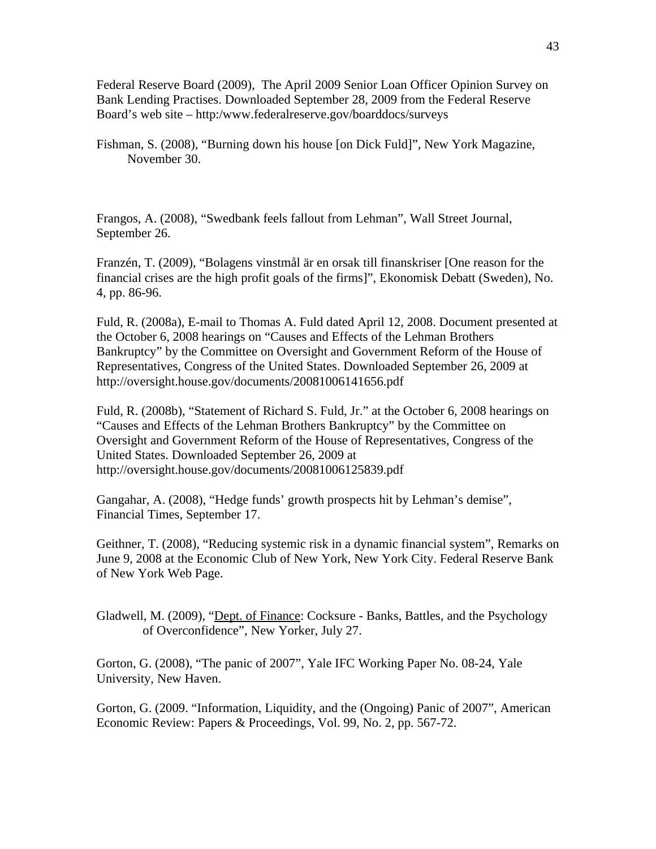Federal Reserve Board (2009), The April 2009 Senior Loan Officer Opinion Survey on Bank Lending Practises. Downloaded September 28, 2009 from the Federal Reserve Board's web site – http:/www.federalreserve.gov/boarddocs/surveys

Fishman, S. (2008), "Burning down his house [on Dick Fuld]", New York Magazine, November 30.

Frangos, A. (2008), "Swedbank feels fallout from Lehman", Wall Street Journal, September 26.

Franzén, T. (2009), "Bolagens vinstmål är en orsak till finanskriser [One reason for the financial crises are the high profit goals of the firms]", Ekonomisk Debatt (Sweden), No. 4, pp. 86-96.

Fuld, R. (2008a), E-mail to Thomas A. Fuld dated April 12, 2008. Document presented at the October 6, 2008 hearings on "Causes and Effects of the Lehman Brothers Bankruptcy" by the Committee on Oversight and Government Reform of the House of Representatives, Congress of the United States. Downloaded September 26, 2009 at http://oversight.house.gov/documents/20081006141656.pdf

Fuld, R. (2008b), "Statement of Richard S. Fuld, Jr." at the October 6, 2008 hearings on "Causes and Effects of the Lehman Brothers Bankruptcy" by the Committee on Oversight and Government Reform of the House of Representatives, Congress of the United States. Downloaded September 26, 2009 at http://oversight.house.gov/documents/20081006125839.pdf

Gangahar, A. (2008), "Hedge funds' growth prospects hit by Lehman's demise", Financial Times, September 17.

Geithner, T. (2008), "Reducing systemic risk in a dynamic financial system", Remarks on June 9, 2008 at the Economic Club of New York, New York City. Federal Reserve Bank of New York Web Page.

Gladwell, M. (2009), "Dept. of Finance: Cocksure - Banks, Battles, and the Psychology of Overconfidence", New Yorker, July 27.

Gorton, G. (2008), "The panic of 2007", Yale IFC Working Paper No. 08-24, Yale University, New Haven.

Gorton, G. (2009. "Information, Liquidity, and the (Ongoing) Panic of 2007", American Economic Review: Papers & Proceedings, Vol. 99, No. 2, pp. 567-72.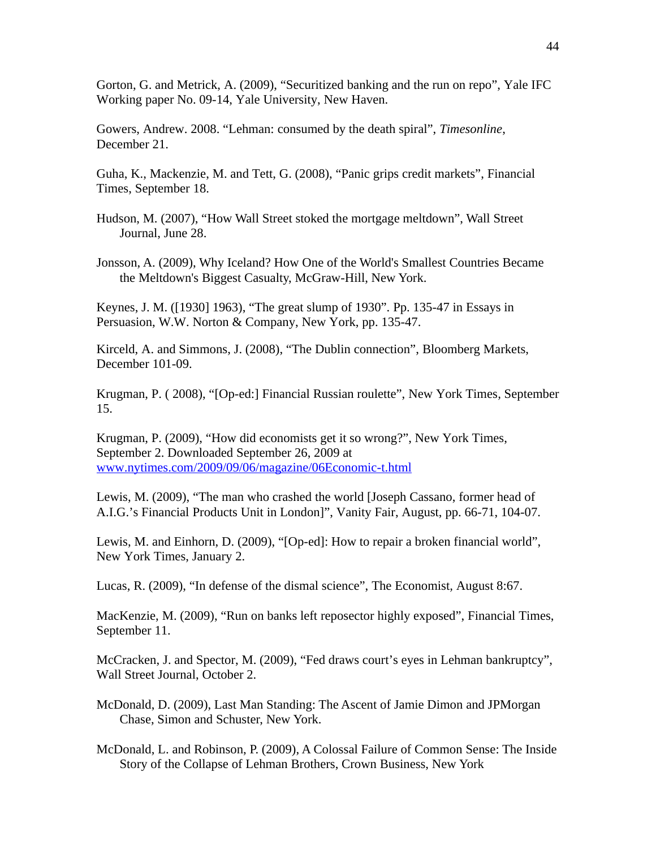Gorton, G. and Metrick, A. (2009), "Securitized banking and the run on repo", Yale IFC Working paper No. 09-14, Yale University, New Haven.

Gowers, Andrew. 2008. "Lehman: consumed by the death spiral", *Timesonline*, December 21.

Guha, K., Mackenzie, M. and Tett, G. (2008), "Panic grips credit markets", Financial Times, September 18.

Hudson, M. (2007), "How Wall Street stoked the mortgage meltdown", Wall Street Journal, June 28.

Jonsson, A. (2009), Why Iceland? How One of the World's Smallest Countries Became the Meltdown's Biggest Casualty, McGraw-Hill, New York.

Keynes, J. M. ([1930] 1963), "The great slump of 1930". Pp. 135-47 in Essays in Persuasion, W.W. Norton & Company, New York, pp. 135-47.

Kirceld, A. and Simmons, J. (2008), "The Dublin connection", Bloomberg Markets, December 101-09.

Krugman, P. ( 2008), "[Op-ed:] Financial Russian roulette", New York Times*,* September 15.

Krugman, P. (2009), "How did economists get it so wrong?", New York Times, September 2. Downloaded September 26, 2009 at [www.nytimes.com/2009/09/06/magazine/06Economic-t.html](http://www.nytimes.com/2009/09/06/magazine/06Economic-t.html)

Lewis, M. (2009), "The man who crashed the world [Joseph Cassano, former head of A.I.G.'s Financial Products Unit in London]", Vanity Fair, August, pp. 66-71, 104-07.

Lewis, M. and Einhorn, D. (2009), "[Op-ed]: How to repair a broken financial world", New York Times, January 2.

Lucas, R. (2009), "In defense of the dismal science", The Economist*,* August 8:67.

MacKenzie, M. (2009), "Run on banks left reposector highly exposed", Financial Times, September 11.

McCracken, J. and Spector, M. (2009), "Fed draws court's eyes in Lehman bankruptcy", Wall Street Journal, October 2.

McDonald, D. (2009), Last Man Standing: The Ascent of Jamie Dimon and JPMorgan Chase, Simon and Schuster, New York.

McDonald, L. and Robinson, P. (2009), A Colossal Failure of Common Sense: The Inside Story of the Collapse of Lehman Brothers, Crown Business, New York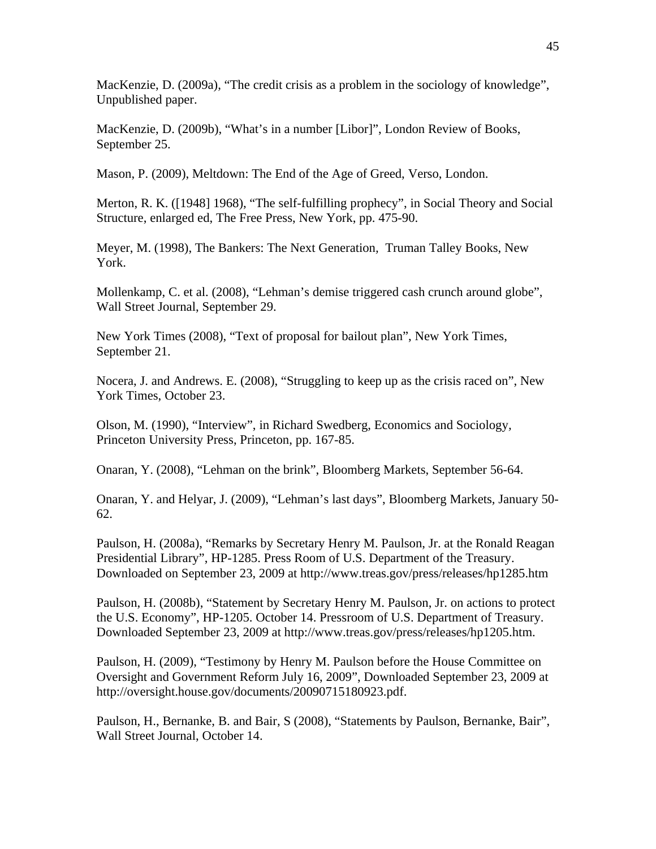MacKenzie, D. (2009a), "The credit crisis as a problem in the sociology of knowledge", Unpublished paper.

MacKenzie, D. (2009b), "What's in a number [Libor]", London Review of Books, September 25.

Mason, P. (2009), Meltdown: The End of the Age of Greed, Verso, London.

Merton, R. K. ([1948] 1968), "The self-fulfilling prophecy", in Social Theory and Social Structure, enlarged ed, The Free Press, New York, pp. 475-90.

Meyer, M. (1998), The Bankers: The Next Generation*,* Truman Talley Books, New York.

Mollenkamp, C. et al. (2008), "Lehman's demise triggered cash crunch around globe", Wall Street Journal, September 29.

New York Times (2008), "Text of proposal for bailout plan", New York Times, September 21.

Nocera, J. and Andrews. E. (2008), "Struggling to keep up as the crisis raced on", New York Times, October 23.

Olson, M. (1990), "Interview", in Richard Swedberg, Economics and Sociology*,* Princeton University Press, Princeton, pp. 167-85.

Onaran, Y. (2008), "Lehman on the brink", Bloomberg Markets, September 56-64.

Onaran, Y. and Helyar, J. (2009), "Lehman's last days", Bloomberg Markets*,* January 50- 62.

Paulson, H. (2008a), "Remarks by Secretary Henry M. Paulson, Jr. at the Ronald Reagan Presidential Library", HP-1285. Press Room of U.S. Department of the Treasury. Downloaded on September 23, 2009 at http://www.treas.gov/press/releases/hp1285.htm

Paulson, H. (2008b), "Statement by Secretary Henry M. Paulson, Jr. on actions to protect the U.S. Economy", HP-1205. October 14. Pressroom of U.S. Department of Treasury. Downloaded September 23, 2009 at http://www.treas.gov/press/releases/hp1205.htm.

Paulson, H. (2009), "Testimony by Henry M. Paulson before the House Committee on Oversight and Government Reform July 16, 2009", Downloaded September 23, 2009 at http://oversight.house.gov/documents/20090715180923.pdf.

Paulson, H., Bernanke, B. and Bair, S (2008), "Statements by Paulson, Bernanke, Bair", Wall Street Journal, October 14.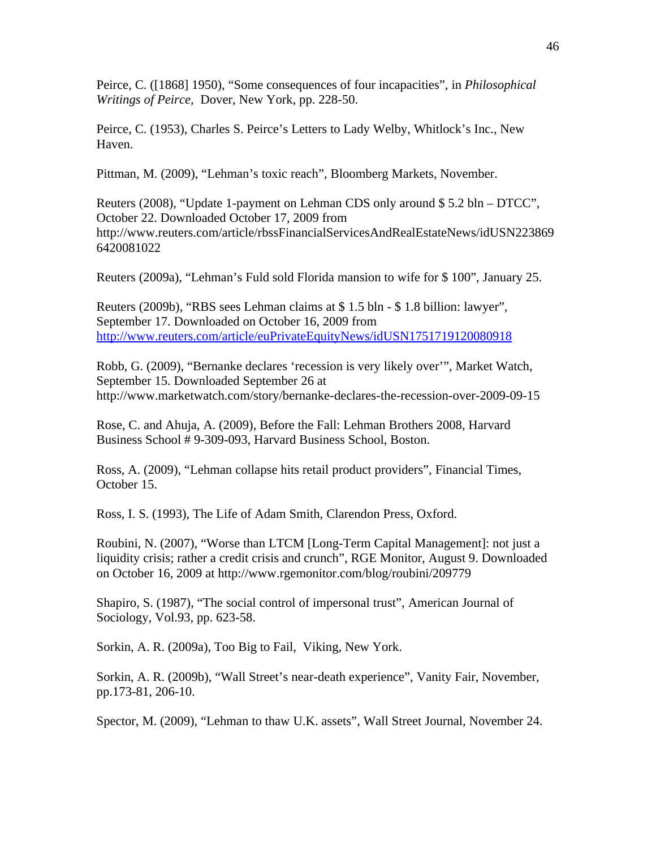Peirce, C. ([1868] 1950), "Some consequences of four incapacities", in *Philosophical Writings of Peirce,* Dover, New York, pp. 228-50.

Peirce, C. (1953), Charles S. Peirce's Letters to Lady Welby, Whitlock's Inc., New Haven.

Pittman, M. (2009), "Lehman's toxic reach", Bloomberg Markets, November.

Reuters (2008), "Update 1-payment on Lehman CDS only around \$ 5.2 bln – DTCC", October 22. Downloaded October 17, 2009 from http://www.reuters.com/article/rbssFinancialServicesAndRealEstateNews/idUSN223869 6420081022

Reuters (2009a), "Lehman's Fuld sold Florida mansion to wife for \$ 100", January 25.

Reuters (2009b), "RBS sees Lehman claims at \$ 1.5 bln - \$ 1.8 billion: lawyer", September 17. Downloaded on October 16, 2009 from <http://www.reuters.com/article/euPrivateEquityNews/idUSN1751719120080918>

Robb, G. (2009), "Bernanke declares 'recession is very likely over'", Market Watch, September 15. Downloaded September 26 at http://www.marketwatch.com/story/bernanke-declares-the-recession-over-2009-09-15

Rose, C. and Ahuja, A. (2009), Before the Fall: Lehman Brothers 2008, Harvard Business School # 9-309-093, Harvard Business School, Boston.

Ross, A. (2009), "Lehman collapse hits retail product providers", Financial Times, October 15.

Ross, I. S. (1993), The Life of Adam Smith, Clarendon Press, Oxford.

Roubini, N. (2007), "Worse than LTCM [Long-Term Capital Management]: not just a liquidity crisis; rather a credit crisis and crunch", RGE Monitor*,* August 9. Downloaded on October 16, 2009 at http://www.rgemonitor.com/blog/roubini/209779

Shapiro, S. (1987), "The social control of impersonal trust", American Journal of Sociology, Vol.93, pp. 623-58.

Sorkin, A. R. (2009a), Too Big to Fail, Viking, New York.

Sorkin, A. R. (2009b), "Wall Street's near-death experience", Vanity Fair, November, pp.173-81, 206-10.

Spector, M. (2009), "Lehman to thaw U.K. assets", Wall Street Journal*,* November 24.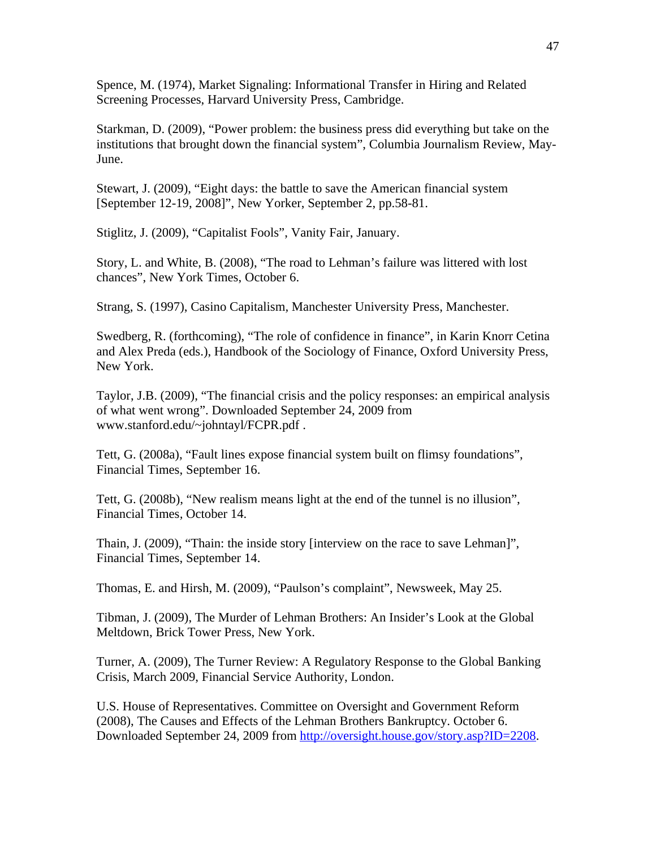Spence, M. (1974), Market Signaling: Informational Transfer in Hiring and Related Screening Processes, Harvard University Press, Cambridge.

Starkman, D. (2009), "Power problem: the business press did everything but take on the institutions that brought down the financial system", Columbia Journalism Review, May-June.

Stewart, J. (2009), "Eight days: the battle to save the American financial system [September 12-19, 2008]", New Yorker, September 2, pp.58-81.

Stiglitz, J. (2009), "Capitalist Fools", Vanity Fair, January.

Story, L. and White, B. (2008), "The road to Lehman's failure was littered with lost chances", New York Times, October 6.

Strang, S. (1997), Casino Capitalism*,* Manchester University Press, Manchester.

Swedberg, R. (forthcoming), "The role of confidence in finance", in Karin Knorr Cetina and Alex Preda (eds.), Handbook of the Sociology of Finance, Oxford University Press, New York.

Taylor, J.B. (2009), "The financial crisis and the policy responses: an empirical analysis of what went wrong". Downloaded September 24, 2009 from www.stanford.edu/~johntayl/FCPR.pdf .

Tett, G. (2008a), "Fault lines expose financial system built on flimsy foundations", Financial Times, September 16.

Tett, G. (2008b), "New realism means light at the end of the tunnel is no illusion", Financial Times*,* October 14.

Thain, J. (2009), "Thain: the inside story [interview on the race to save Lehman]", Financial Times, September 14.

Thomas, E. and Hirsh, M. (2009), "Paulson's complaint", Newsweek, May 25.

Tibman, J. (2009), The Murder of Lehman Brothers: An Insider's Look at the Global Meltdown, Brick Tower Press, New York.

Turner, A. (2009), The Turner Review: A Regulatory Response to the Global Banking Crisis, March 2009, Financial Service Authority, London.

U.S. House of Representatives. Committee on Oversight and Government Reform (2008), The Causes and Effects of the Lehman Brothers Bankruptcy. October 6. Downloaded September 24, 2009 from [http://oversight.house.gov/story.asp?ID=2208.](http://oversight.house.gov/story.asp?ID=2208)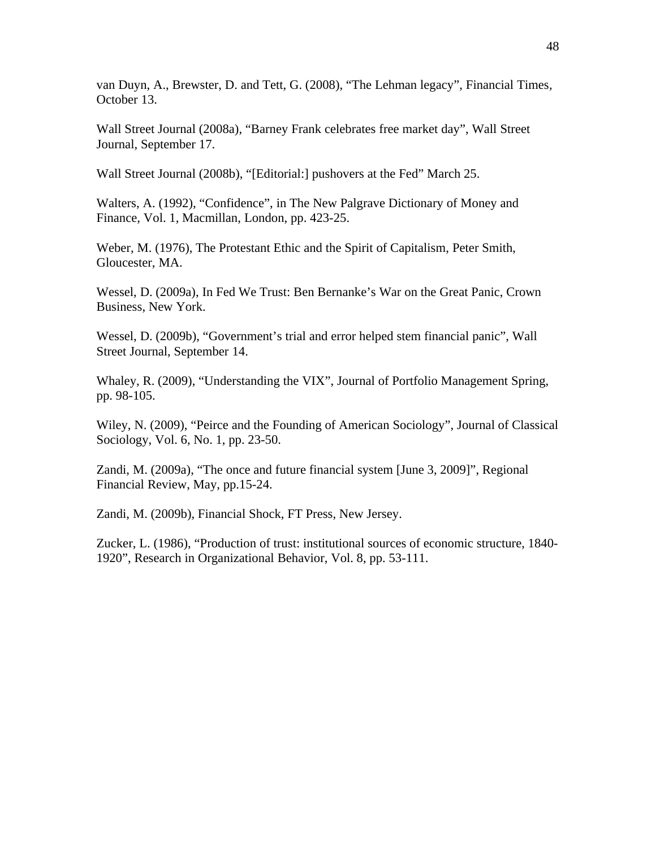van Duyn, A., Brewster, D. and Tett, G. (2008), "The Lehman legacy", Financial Times*,* October 13.

Wall Street Journal (2008a), "Barney Frank celebrates free market day", Wall Street Journal, September 17.

Wall Street Journal (2008b), "[Editorial:] pushovers at the Fed" March 25.

Walters, A. (1992), "Confidence", in The New Palgrave Dictionary of Money and Finance, Vol. 1, Macmillan, London, pp. 423-25.

Weber, M. (1976), The Protestant Ethic and the Spirit of Capitalism, Peter Smith, Gloucester, MA.

Wessel, D. (2009a), In Fed We Trust: Ben Bernanke's War on the Great Panic, Crown Business, New York.

Wessel, D. (2009b), "Government's trial and error helped stem financial panic", Wall Street Journal, September 14.

Whaley, R. (2009), "Understanding the VIX", Journal of Portfolio Management Spring, pp. 98-105.

Wiley, N. (2009), "Peirce and the Founding of American Sociology", Journal of Classical Sociology, Vol. 6, No. 1, pp. 23-50.

Zandi, M. (2009a), "The once and future financial system [June 3, 2009]", Regional Financial Review, May, pp.15-24.

Zandi, M. (2009b), Financial Shock, FT Press, New Jersey.

Zucker, L. (1986), "Production of trust: institutional sources of economic structure, 1840- 1920", Research in Organizational Behavior, Vol. 8, pp. 53-111.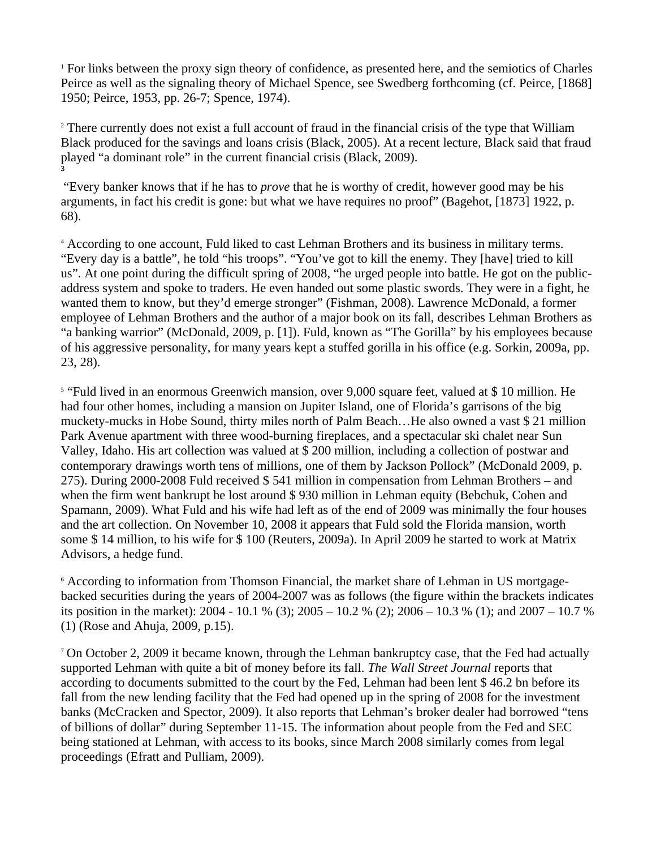<span id="page-48-0"></span><sup>1</sup> For links between the proxy sign theory of confidence, as presented here, and the semiotics of Charles Peirce as well as the signaling theory of Michael Spence, see Swedberg forthcoming (cf. Peirce, [1868] 1950; Peirce, 1953, pp. 26-7; Spence, 1974).

<span id="page-48-1"></span><sup>2</sup> There currently does not exist a full account of fraud in the financial crisis of the type that William Black produced for the savings and loans crisis (Black, 2005). At a recent lecture, Black said that fraud played "a dominant role" in the current financial crisis (Black, 2009). 3

<span id="page-48-2"></span>"Every banker knows that if he has to *prove* that he is worthy of credit, however good may be his arguments, in fact his credit is gone: but what we have requires no proof" (Bagehot, [1873] 1922, p. 68).

<span id="page-48-3"></span><sup>4</sup> According to one account, Fuld liked to cast Lehman Brothers and its business in military terms. "Every day is a battle", he told "his troops". "You've got to kill the enemy. They [have] tried to kill us". At one point during the difficult spring of 2008, "he urged people into battle. He got on the publicaddress system and spoke to traders. He even handed out some plastic swords. They were in a fight, he wanted them to know, but they'd emerge stronger" (Fishman, 2008). Lawrence McDonald, a former employee of Lehman Brothers and the author of a major book on its fall, describes Lehman Brothers as "a banking warrior" (McDonald, 2009, p. [1]). Fuld, known as "The Gorilla" by his employees because of his aggressive personality, for many years kept a stuffed gorilla in his office (e.g. Sorkin, 2009a, pp. 23, 28).

<span id="page-48-4"></span><sup>5</sup> "Fuld lived in an enormous Greenwich mansion, over 9,000 square feet, valued at \$10 million. He had four other homes, including a mansion on Jupiter Island, one of Florida's garrisons of the big muckety-mucks in Hobe Sound, thirty miles north of Palm Beach…He also owned a vast \$ 21 million Park Avenue apartment with three wood-burning fireplaces, and a spectacular ski chalet near Sun Valley, Idaho. His art collection was valued at \$ 200 million, including a collection of postwar and contemporary drawings worth tens of millions, one of them by Jackson Pollock" (McDonald 2009, p. 275). During 2000-2008 Fuld received \$ 541 million in compensation from Lehman Brothers – and when the firm went bankrupt he lost around \$ 930 million in Lehman equity (Bebchuk, Cohen and Spamann, 2009). What Fuld and his wife had left as of the end of 2009 was minimally the four houses and the art collection. On November 10, 2008 it appears that Fuld sold the Florida mansion, worth some \$ 14 million, to his wife for \$ 100 (Reuters, 2009a). In April 2009 he started to work at Matrix Advisors, a hedge fund.

<span id="page-48-5"></span><sup>6</sup> According to information from Thomson Financial, the market share of Lehman in US mortgagebacked securities during the years of 2004-2007 was as follows (the figure within the brackets indicates its position in the market): 2004 - 10.1 % (3); 2005 – 10.2 % (2); 2006 – 10.3 % (1); and 2007 – 10.7 % (1) (Rose and Ahuja, 2009, p.15).

<span id="page-48-6"></span><sup>7</sup> On October 2, 2009 it became known, through the Lehman bankruptcy case, that the Fed had actually supported Lehman with quite a bit of money before its fall. *The Wall Street Journal* reports that according to documents submitted to the court by the Fed, Lehman had been lent \$ 46.2 bn before its fall from the new lending facility that the Fed had opened up in the spring of 2008 for the investment banks (McCracken and Spector, 2009). It also reports that Lehman's broker dealer had borrowed "tens of billions of dollar" during September 11-15. The information about people from the Fed and SEC being stationed at Lehman, with access to its books, since March 2008 similarly comes from legal proceedings (Efratt and Pulliam, 2009).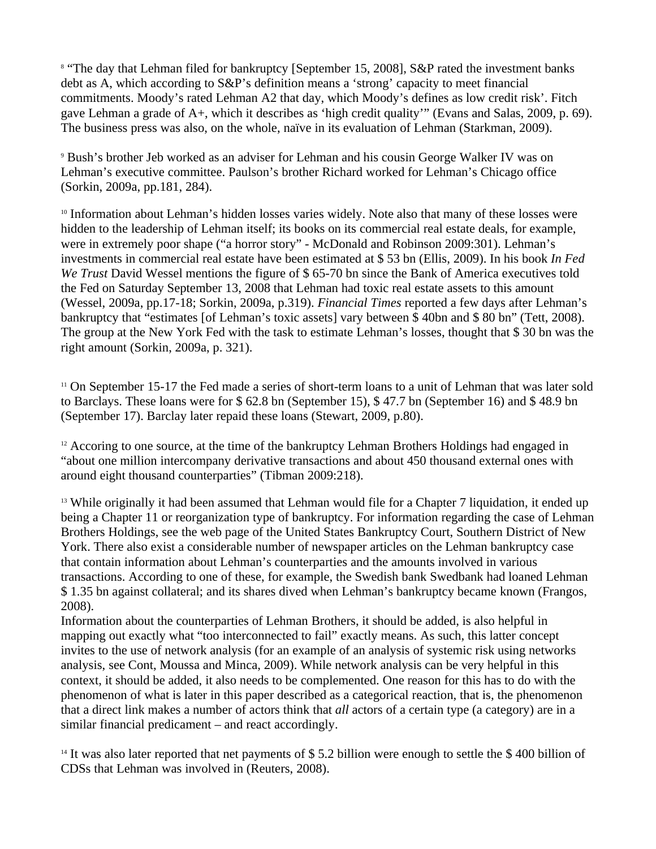<span id="page-49-0"></span><sup>8</sup> "The day that Lehman filed for bankruptcy [September 15, 2008], S&P rated the investment banks debt as A, which according to S&P's definition means a 'strong' capacity to meet financial commitments. Moody's rated Lehman A2 that day, which Moody's defines as low credit risk'. Fitch gave Lehman a grade of A+, which it describes as 'high credit quality'" (Evans and Salas, 2009, p. 69). The business press was also, on the whole, naïve in its evaluation of Lehman (Starkman, 2009).

<span id="page-49-1"></span><sup>9</sup> Bush's brother Jeb worked as an adviser for Lehman and his cousin George Walker IV was on Lehman's executive committee. Paulson's brother Richard worked for Lehman's Chicago office (Sorkin, 2009a, pp.181, 284).

<span id="page-49-2"></span><sup>10</sup> Information about Lehman's hidden losses varies widely. Note also that many of these losses were hidden to the leadership of Lehman itself; its books on its commercial real estate deals, for example, were in extremely poor shape ("a horror story" - McDonald and Robinson 2009:301). Lehman's investments in commercial real estate have been estimated at \$ 53 bn (Ellis, 2009). In his book *In Fed We Trust* David Wessel mentions the figure of \$ 65-70 bn since the Bank of America executives told the Fed on Saturday September 13, 2008 that Lehman had toxic real estate assets to this amount (Wessel, 2009a, pp.17-18; Sorkin, 2009a, p.319). *Financial Times* reported a few days after Lehman's bankruptcy that "estimates [of Lehman's toxic assets] vary between \$ 40bn and \$ 80 bn" (Tett, 2008). The group at the New York Fed with the task to estimate Lehman's losses, thought that \$ 30 bn was the right amount (Sorkin, 2009a, p. 321).

<span id="page-49-3"></span> $11$  On September 15-17 the Fed made a series of short-term loans to a unit of Lehman that was later sold to Barclays. These loans were for \$ 62.8 bn (September 15), \$ 47.7 bn (September 16) and \$ 48.9 bn (September 17). Barclay later repaid these loans (Stewart, 2009, p.80).

<span id="page-49-4"></span> $12$  Accoring to one source, at the time of the bankruptcy Lehman Brothers Holdings had engaged in "about one million intercompany derivative transactions and about 450 thousand external ones with around eight thousand counterparties" (Tibman 2009:218).

<span id="page-49-5"></span> $13$  While originally it had been assumed that Lehman would file for a Chapter 7 liquidation, it ended up being a Chapter 11 or reorganization type of bankruptcy. For information regarding the case of Lehman Brothers Holdings, see the web page of the United States Bankruptcy Court, Southern District of New York. There also exist a considerable number of newspaper articles on the Lehman bankruptcy case that contain information about Lehman's counterparties and the amounts involved in various transactions. According to one of these, for example, the Swedish bank Swedbank had loaned Lehman \$ 1.35 bn against collateral; and its shares dived when Lehman's bankruptcy became known (Frangos, 2008).

Information about the counterparties of Lehman Brothers, it should be added, is also helpful in mapping out exactly what "too interconnected to fail" exactly means. As such, this latter concept invites to the use of network analysis (for an example of an analysis of systemic risk using networks analysis, see Cont, Moussa and Minca, 2009). While network analysis can be very helpful in this context, it should be added, it also needs to be complemented. One reason for this has to do with the phenomenon of what is later in this paper described as a categorical reaction, that is, the phenomenon that a direct link makes a number of actors think that *all* actors of a certain type (a category) are in a similar financial predicament – and react accordingly.

<span id="page-49-6"></span> $14$  It was also later reported that net payments of \$5.2 billion were enough to settle the \$400 billion of CDSs that Lehman was involved in (Reuters, 2008).